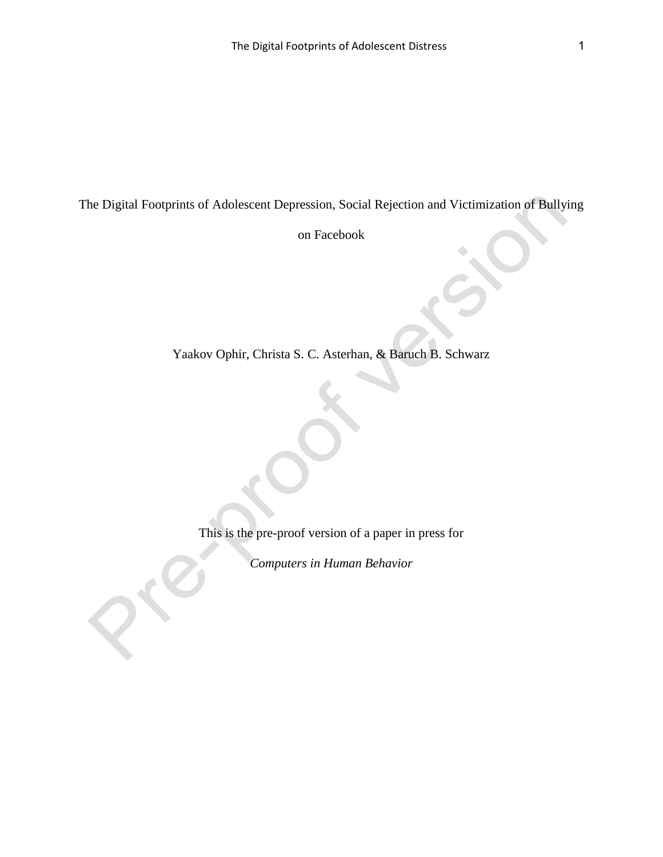The Digital Footprints of Adolescent Depression, Social Rejection and Victimization of Bullying

on Facebook

Yaakov Ophir, Christa S. C. Asterhan, & Baruch B. Schwarz

This is the pre-proof version of a paper in press for

*Computers in Human Behavior*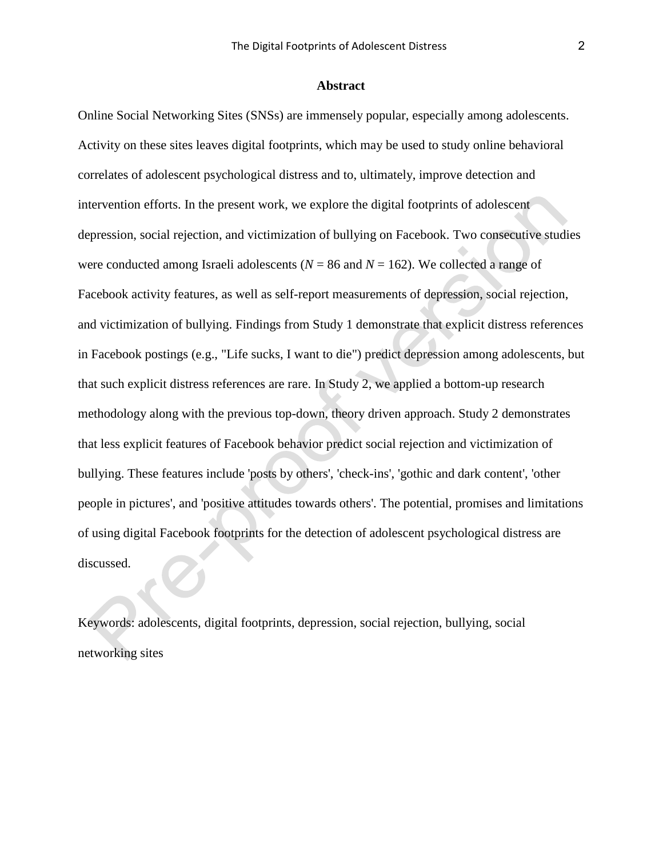## **Abstract**

Online Social Networking Sites (SNSs) are immensely popular, especially among adolescents. Activity on these sites leaves digital footprints, which may be used to study online behavioral correlates of adolescent psychological distress and to, ultimately, improve detection and intervention efforts. In the present work, we explore the digital footprints of adolescent depression, social rejection, and victimization of bullying on Facebook. Two consecutive studies were conducted among Israeli adolescents ( $N = 86$  and  $N = 162$ ). We collected a range of Facebook activity features, as well as self-report measurements of depression, social rejection, and victimization of bullying. Findings from Study 1 demonstrate that explicit distress references in Facebook postings (e.g., "Life sucks, I want to die") predict depression among adolescents, but that such explicit distress references are rare. In Study 2, we applied a bottom-up research methodology along with the previous top-down, theory driven approach. Study 2 demonstrates that less explicit features of Facebook behavior predict social rejection and victimization of bullying. These features include 'posts by others', 'check-ins', 'gothic and dark content', 'other people in pictures', and 'positive attitudes towards others'. The potential, promises and limitations of using digital Facebook footprints for the detection of adolescent psychological distress are discussed.

Keywords: adolescents, digital footprints, depression, social rejection, bullying, social networking sites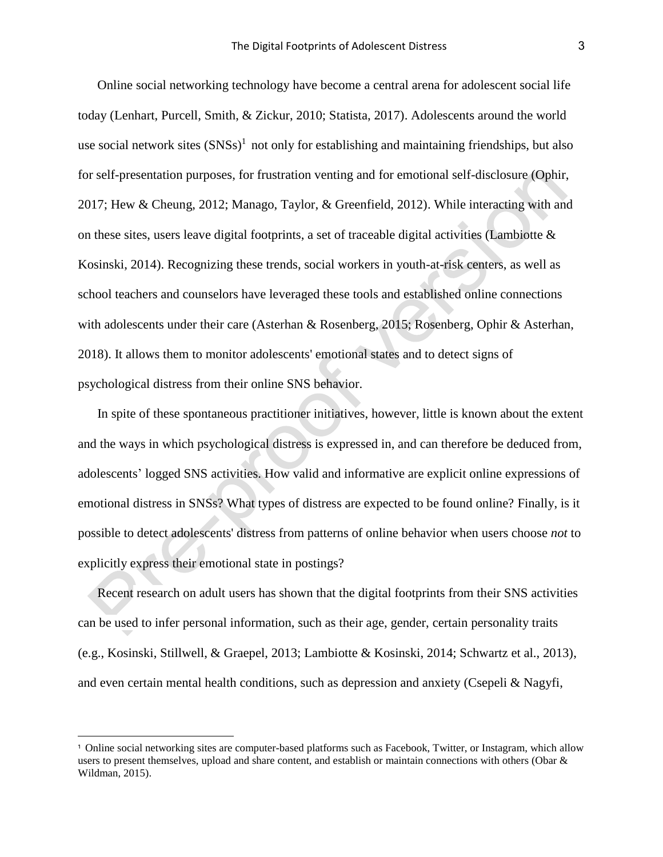Online social networking technology have become a central arena for adolescent social life today (Lenhart, Purcell, Smith, & Zickur, 2010; Statista, 2017). Adolescents around the world use social network sites  $(SNSs)^1$  not only for establishing and maintaining friendships, but also for self-presentation purposes, for frustration venting and for emotional self-disclosure (Ophir, 2017; Hew & Cheung, 2012; Manago, Taylor, & Greenfield, 2012). While interacting with and on these sites, users leave digital footprints, a set of traceable digital activities (Lambiotte & Kosinski, 2014). Recognizing these trends, social workers in youth-at-risk centers, as well as school teachers and counselors have leveraged these tools and established online connections with adolescents under their care (Asterhan & Rosenberg, 2015; Rosenberg, Ophir & Asterhan, 2018). It allows them to monitor adolescents' emotional states and to detect signs of psychological distress from their online SNS behavior.

In spite of these spontaneous practitioner initiatives, however, little is known about the extent and the ways in which psychological distress is expressed in, and can therefore be deduced from, adolescents' logged SNS activities. How valid and informative are explicit online expressions of emotional distress in SNSs? What types of distress are expected to be found online? Finally, is it possible to detect adolescents' distress from patterns of online behavior when users choose *not* to explicitly express their emotional state in postings?

Recent research on adult users has shown that the digital footprints from their SNS activities can be used to infer personal information, such as their age, gender, certain personality traits (e.g., Kosinski, Stillwell, & Graepel, 2013; Lambiotte & Kosinski, 2014; Schwartz et al., 2013), and even certain mental health conditions, such as depression and anxiety (Csepeli & Nagyfi,

-

<sup>1</sup> Online social networking sites are computer-based platforms such as Facebook, Twitter, or Instagram, which allow users to present themselves, upload and share content, and establish or maintain connections with others (Obar & Wildman, 2015).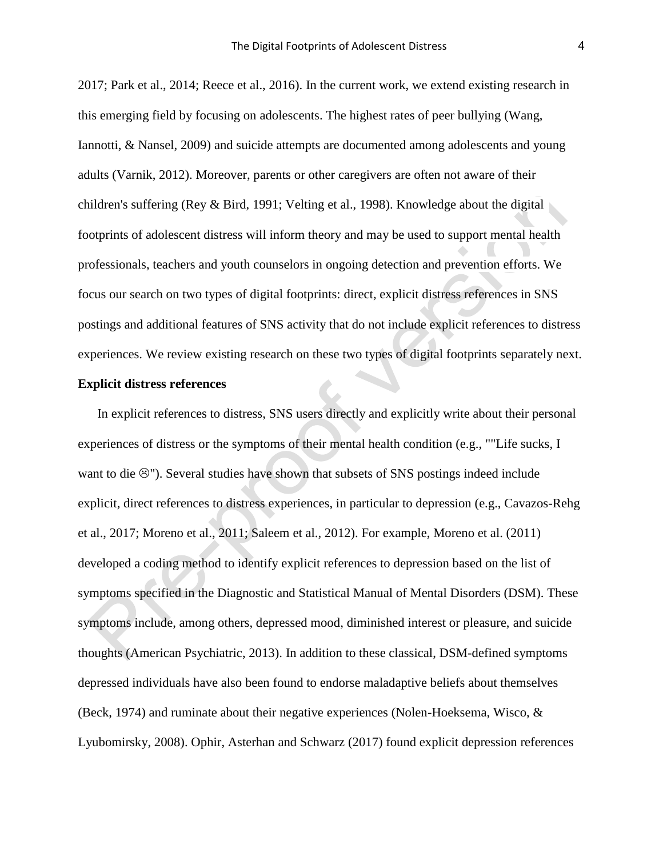2017; Park et al., 2014; Reece et al., 2016). In the current work, we extend existing research in this emerging field by focusing on adolescents. The highest rates of peer bullying (Wang, Iannotti, & Nansel, 2009) and suicide attempts are documented among adolescents and young adults (Varnik, 2012). Moreover, parents or other caregivers are often not aware of their children's suffering (Rey & Bird, 1991; Velting et al., 1998). Knowledge about the digital footprints of adolescent distress will inform theory and may be used to support mental health professionals, teachers and youth counselors in ongoing detection and prevention efforts. We focus our search on two types of digital footprints: direct, explicit distress references in SNS postings and additional features of SNS activity that do not include explicit references to distress experiences. We review existing research on these two types of digital footprints separately next.

## **Explicit distress references**

In explicit references to distress, SNS users directly and explicitly write about their personal experiences of distress or the symptoms of their mental health condition (e.g., ""Life sucks, I want to die  $\circledcirc$ "). Several studies have shown that subsets of SNS postings indeed include explicit, direct references to distress experiences, in particular to depression (e.g., Cavazos-Rehg et al., 2017; Moreno et al., 2011; Saleem et al., 2012). For example, Moreno et al. (2011) developed a coding method to identify explicit references to depression based on the list of symptoms specified in the Diagnostic and Statistical Manual of Mental Disorders (DSM). These symptoms include, among others, depressed mood, diminished interest or pleasure, and suicide thoughts (American Psychiatric, 2013). In addition to these classical, DSM-defined symptoms depressed individuals have also been found to endorse maladaptive beliefs about themselves (Beck, 1974) and ruminate about their negative experiences (Nolen-Hoeksema, Wisco, & Lyubomirsky, 2008). Ophir, Asterhan and Schwarz (2017) found explicit depression references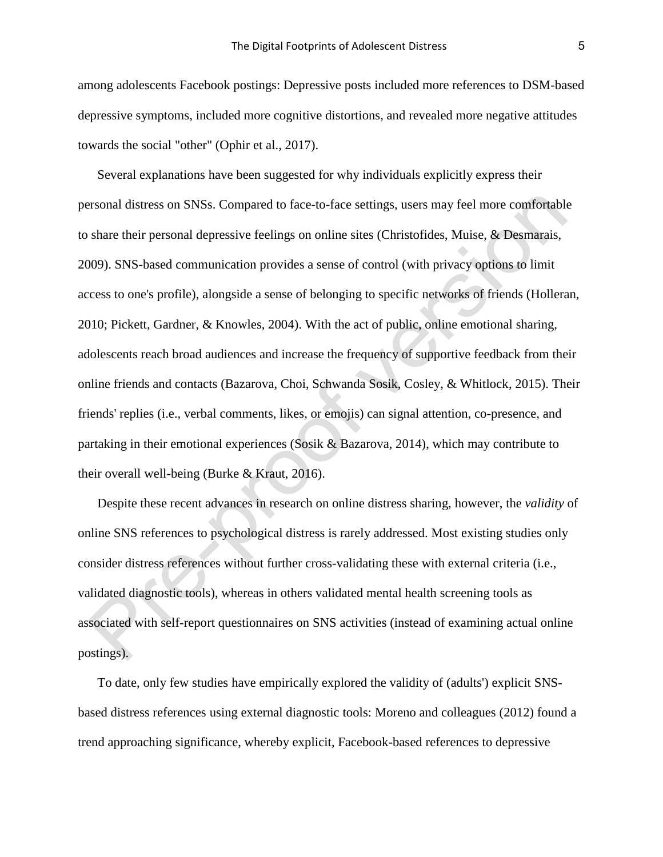among adolescents Facebook postings: Depressive posts included more references to DSM-based depressive symptoms, included more cognitive distortions, and revealed more negative attitudes towards the social "other" (Ophir et al., 2017).

Several explanations have been suggested for why individuals explicitly express their personal distress on SNSs. Compared to face-to-face settings, users may feel more comfortable to share their personal depressive feelings on online sites (Christofides, Muise, & Desmarais, 2009). SNS-based communication provides a sense of control (with privacy options to limit access to one's profile), alongside a sense of belonging to specific networks of friends (Holleran, 2010; Pickett, Gardner, & Knowles, 2004). With the act of public, online emotional sharing, adolescents reach broad audiences and increase the frequency of supportive feedback from their online friends and contacts (Bazarova, Choi, Schwanda Sosik, Cosley, & Whitlock, 2015). Their friends' replies (i.e., verbal comments, likes, or emojis) can signal attention, co-presence, and partaking in their emotional experiences (Sosik & Bazarova, 2014), which may contribute to their overall well-being (Burke & Kraut, 2016).

Despite these recent advances in research on online distress sharing, however, the *validity* of online SNS references to psychological distress is rarely addressed. Most existing studies only consider distress references without further cross-validating these with external criteria (i.e., validated diagnostic tools), whereas in others validated mental health screening tools as associated with self-report questionnaires on SNS activities (instead of examining actual online postings).

To date, only few studies have empirically explored the validity of (adults') explicit SNSbased distress references using external diagnostic tools: Moreno and colleagues (2012) found a trend approaching significance, whereby explicit, Facebook-based references to depressive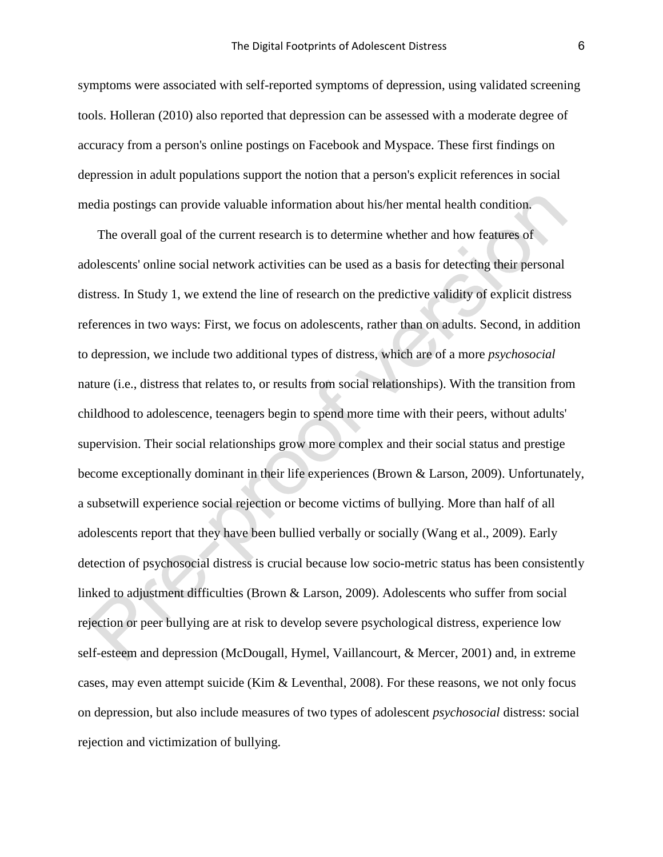symptoms were associated with self-reported symptoms of depression, using validated screening tools. Holleran (2010) also reported that depression can be assessed with a moderate degree of accuracy from a person's online postings on Facebook and Myspace. These first findings on depression in adult populations support the notion that a person's explicit references in social media postings can provide valuable information about his/her mental health condition.

The overall goal of the current research is to determine whether and how features of adolescents' online social network activities can be used as a basis for detecting their personal distress. In Study 1, we extend the line of research on the predictive validity of explicit distress references in two ways: First, we focus on adolescents, rather than on adults. Second, in addition to depression, we include two additional types of distress, which are of a more *psychosocial* nature (i.e., distress that relates to, or results from social relationships). With the transition from childhood to adolescence, teenagers begin to spend more time with their peers, without adults' supervision. Their social relationships grow more complex and their social status and prestige become exceptionally dominant in their life experiences (Brown & Larson, 2009). Unfortunately, a subsetwill experience social rejection or become victims of bullying. More than half of all adolescents report that they have been bullied verbally or socially (Wang et al., 2009). Early detection of psychosocial distress is crucial because low socio-metric status has been consistently linked to adjustment difficulties (Brown & Larson, 2009). Adolescents who suffer from social rejection or peer bullying are at risk to develop severe psychological distress, experience low self-esteem and depression (McDougall, Hymel, Vaillancourt, & Mercer, 2001) and, in extreme cases, may even attempt suicide (Kim & Leventhal, 2008). For these reasons, we not only focus on depression, but also include measures of two types of adolescent *psychosocial* distress: social rejection and victimization of bullying.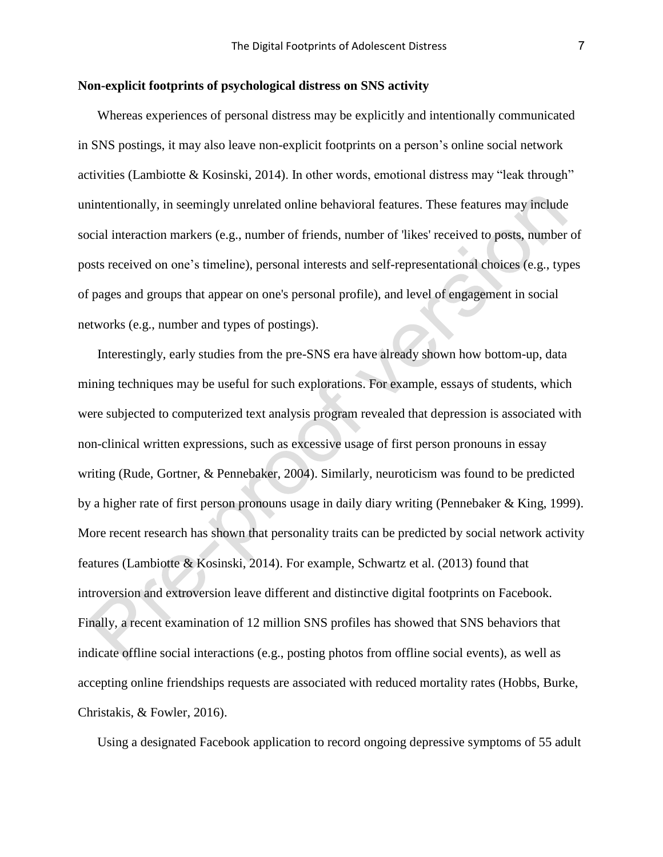# **Non-explicit footprints of psychological distress on SNS activity**

Whereas experiences of personal distress may be explicitly and intentionally communicated in SNS postings, it may also leave non-explicit footprints on a person's online social network activities (Lambiotte & Kosinski, 2014). In other words, emotional distress may "leak through" unintentionally, in seemingly unrelated online behavioral features. These features may include social interaction markers (e.g., number of friends, number of 'likes' received to posts, number of posts received on one's timeline), personal interests and self-representational choices (e.g., types of pages and groups that appear on one's personal profile), and level of engagement in social networks (e.g., number and types of postings).

Interestingly, early studies from the pre-SNS era have already shown how bottom-up, data mining techniques may be useful for such explorations. For example, essays of students, which were subjected to computerized text analysis program revealed that depression is associated with non-clinical written expressions, such as excessive usage of first person pronouns in essay writing (Rude, Gortner, & Pennebaker, 2004). Similarly, neuroticism was found to be predicted by a higher rate of first person pronouns usage in daily diary writing (Pennebaker & King, 1999). More recent research has shown that personality traits can be predicted by social network activity features (Lambiotte & Kosinski, 2014). For example, Schwartz et al. (2013) found that introversion and extroversion leave different and distinctive digital footprints on Facebook. Finally, a recent examination of 12 million SNS profiles has showed that SNS behaviors that indicate offline social interactions (e.g., posting photos from offline social events), as well as accepting online friendships requests are associated with reduced mortality rates (Hobbs, Burke, Christakis, & Fowler, 2016).

Using a designated Facebook application to record ongoing depressive symptoms of 55 adult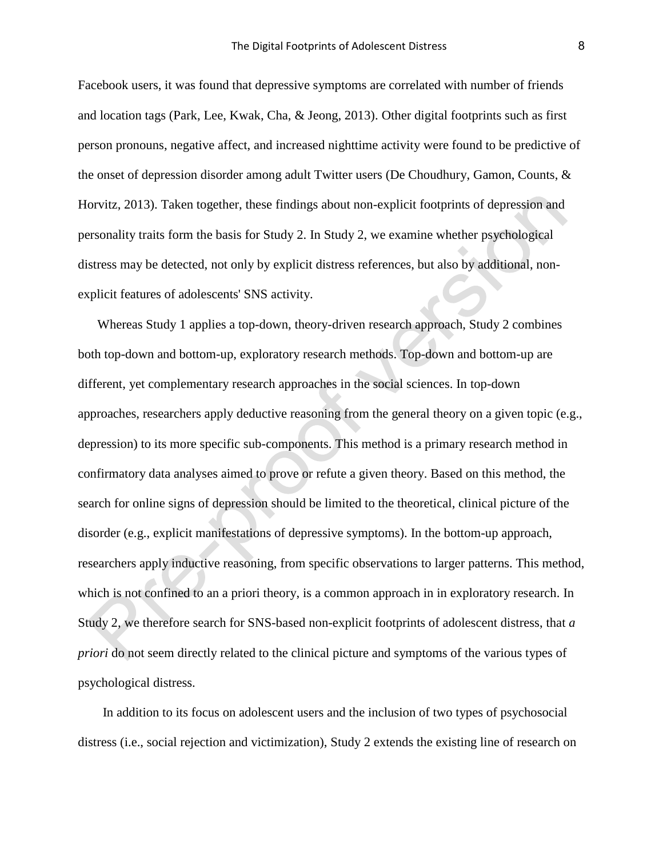Facebook users, it was found that depressive symptoms are correlated with number of friends and location tags (Park, Lee, Kwak, Cha, & Jeong, 2013). Other digital footprints such as first person pronouns, negative affect, and increased nighttime activity were found to be predictive of the onset of depression disorder among adult Twitter users (De Choudhury, Gamon, Counts, & Horvitz, 2013). Taken together, these findings about non-explicit footprints of depression and personality traits form the basis for Study 2. In Study 2, we examine whether psychological distress may be detected, not only by explicit distress references, but also by additional, nonexplicit features of adolescents' SNS activity.

Whereas Study 1 applies a top-down, theory-driven research approach, Study 2 combines both top-down and bottom-up, exploratory research methods. Top-down and bottom-up are different, yet complementary research approaches in the social sciences. In top-down approaches, researchers apply deductive reasoning from the general theory on a given topic (e.g., depression) to its more specific sub-components. This method is a primary research method in confirmatory data analyses aimed to prove or refute a given theory. Based on this method, the search for online signs of depression should be limited to the theoretical, clinical picture of the disorder (e.g., explicit manifestations of depressive symptoms). In the bottom-up approach, researchers apply inductive reasoning, from specific observations to larger patterns. This method, which is not confined to an a priori theory, is a common approach in in exploratory research. In Study 2, we therefore search for SNS-based non-explicit footprints of adolescent distress, that *a priori* do not seem directly related to the clinical picture and symptoms of the various types of psychological distress.

In addition to its focus on adolescent users and the inclusion of two types of psychosocial distress (i.e., social rejection and victimization), Study 2 extends the existing line of research on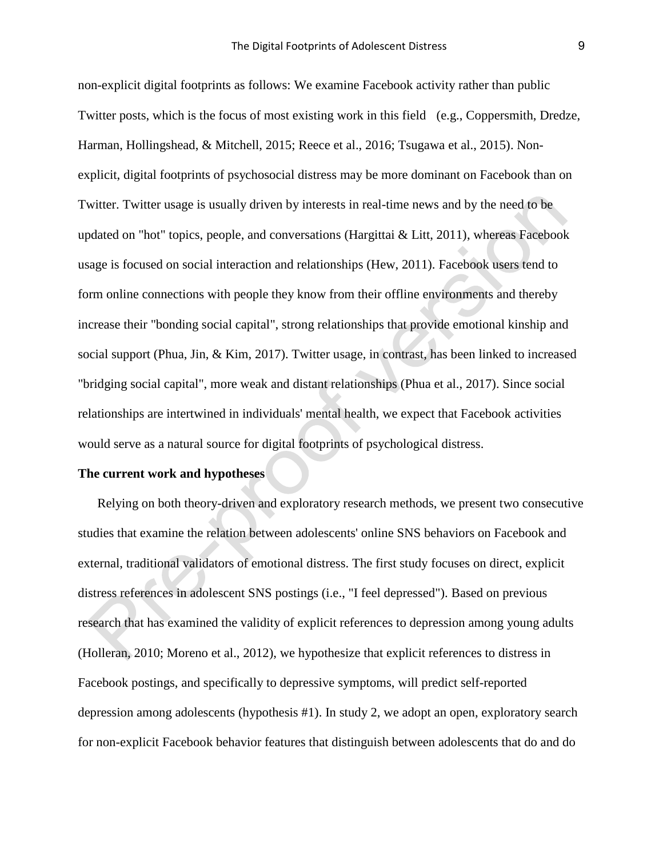non-explicit digital footprints as follows: We examine Facebook activity rather than public Twitter posts, which is the focus of most existing work in this field (e.g., Coppersmith, Dredze, Harman, Hollingshead, & Mitchell, 2015; Reece et al., 2016; Tsugawa et al., 2015). Nonexplicit, digital footprints of psychosocial distress may be more dominant on Facebook than on Twitter. Twitter usage is usually driven by interests in real-time news and by the need to be updated on "hot" topics, people, and conversations (Hargittai & Litt, 2011), whereas Facebook usage is focused on social interaction and relationships (Hew, 2011). Facebook users tend to form online connections with people they know from their offline environments and thereby increase their "bonding social capital", strong relationships that provide emotional kinship and social support (Phua, Jin, & Kim, 2017). Twitter usage, in contrast, has been linked to increased "bridging social capital", more weak and distant relationships (Phua et al., 2017). Since social relationships are intertwined in individuals' mental health, we expect that Facebook activities would serve as a natural source for digital footprints of psychological distress.

# **The current work and hypotheses**

Relying on both theory-driven and exploratory research methods, we present two consecutive studies that examine the relation between adolescents' online SNS behaviors on Facebook and external, traditional validators of emotional distress. The first study focuses on direct, explicit distress references in adolescent SNS postings (i.e., "I feel depressed"). Based on previous research that has examined the validity of explicit references to depression among young adults (Holleran, 2010; Moreno et al., 2012), we hypothesize that explicit references to distress in Facebook postings, and specifically to depressive symptoms, will predict self-reported depression among adolescents (hypothesis #1). In study 2, we adopt an open, exploratory search for non-explicit Facebook behavior features that distinguish between adolescents that do and do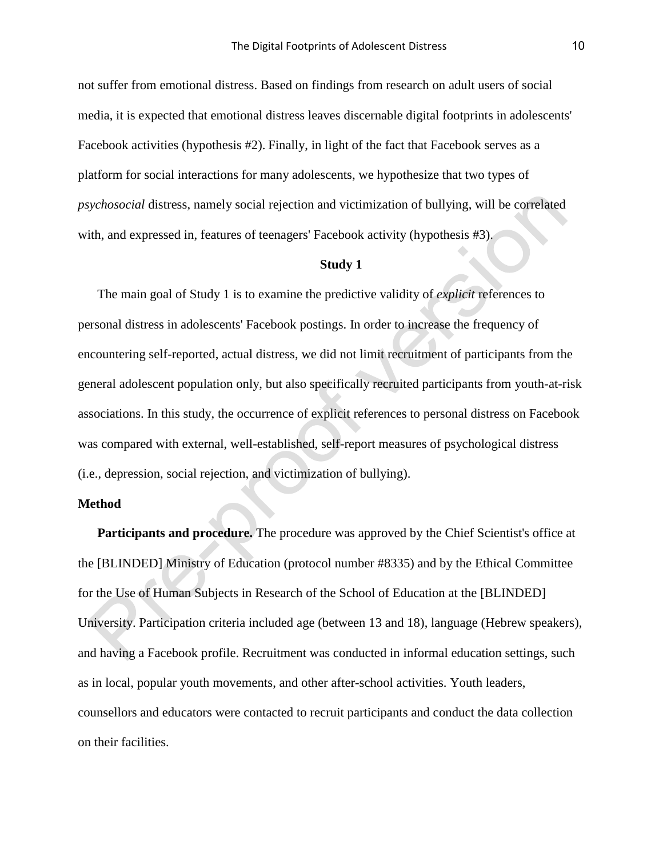not suffer from emotional distress. Based on findings from research on adult users of social media, it is expected that emotional distress leaves discernable digital footprints in adolescents' Facebook activities (hypothesis #2). Finally, in light of the fact that Facebook serves as a platform for social interactions for many adolescents, we hypothesize that two types of *psychosocial* distress, namely social rejection and victimization of bullying, will be correlated with, and expressed in, features of teenagers' Facebook activity (hypothesis #3).

#### **Study 1**

The main goal of Study 1 is to examine the predictive validity of *explicit* references to personal distress in adolescents' Facebook postings. In order to increase the frequency of encountering self-reported, actual distress, we did not limit recruitment of participants from the general adolescent population only, but also specifically recruited participants from youth-at-risk associations. In this study, the occurrence of explicit references to personal distress on Facebook was compared with external, well-established, self-report measures of psychological distress (i.e., depression, social rejection, and victimization of bullying).

# **Method**

**Participants and procedure.** The procedure was approved by the Chief Scientist's office at the [BLINDED] Ministry of Education (protocol number #8335) and by the Ethical Committee for the Use of Human Subjects in Research of the School of Education at the [BLINDED] University. Participation criteria included age (between 13 and 18), language (Hebrew speakers), and having a Facebook profile. Recruitment was conducted in informal education settings, such as in local, popular youth movements, and other after-school activities. Youth leaders, counsellors and educators were contacted to recruit participants and conduct the data collection on their facilities.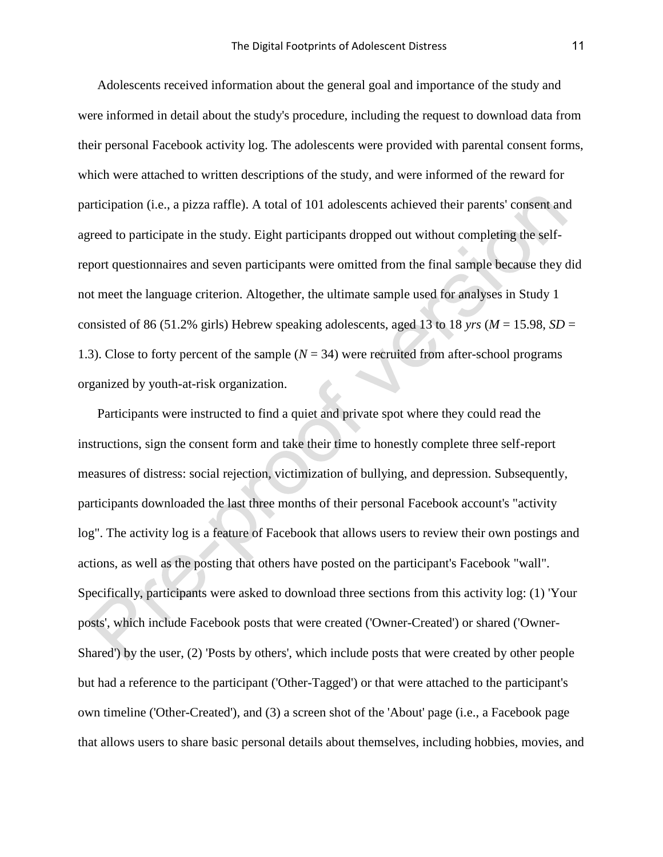Adolescents received information about the general goal and importance of the study and were informed in detail about the study's procedure, including the request to download data from their personal Facebook activity log. The adolescents were provided with parental consent forms, which were attached to written descriptions of the study, and were informed of the reward for participation (i.e., a pizza raffle). A total of 101 adolescents achieved their parents' consent and agreed to participate in the study. Eight participants dropped out without completing the selfreport questionnaires and seven participants were omitted from the final sample because they did not meet the language criterion. Altogether, the ultimate sample used for analyses in Study 1 consisted of 86 (51.2% girls) Hebrew speaking adolescents, aged 13 to 18 *yrs* ( $M = 15.98$ ,  $SD =$ 1.3). Close to forty percent of the sample  $(N = 34)$  were recruited from after-school programs organized by youth-at-risk organization.

Participants were instructed to find a quiet and private spot where they could read the instructions, sign the consent form and take their time to honestly complete three self-report measures of distress: social rejection, victimization of bullying, and depression. Subsequently, participants downloaded the last three months of their personal Facebook account's "activity log". The activity log is a feature of Facebook that allows users to review their own postings and actions, as well as the posting that others have posted on the participant's Facebook "wall". Specifically, participants were asked to download three sections from this activity log: (1) 'Your posts', which include Facebook posts that were created ('Owner-Created') or shared ('Owner-Shared') by the user, (2) 'Posts by others', which include posts that were created by other people but had a reference to the participant ('Other-Tagged') or that were attached to the participant's own timeline ('Other-Created'), and (3) a screen shot of the 'About' page (i.e., a Facebook page that allows users to share basic personal details about themselves, including hobbies, movies, and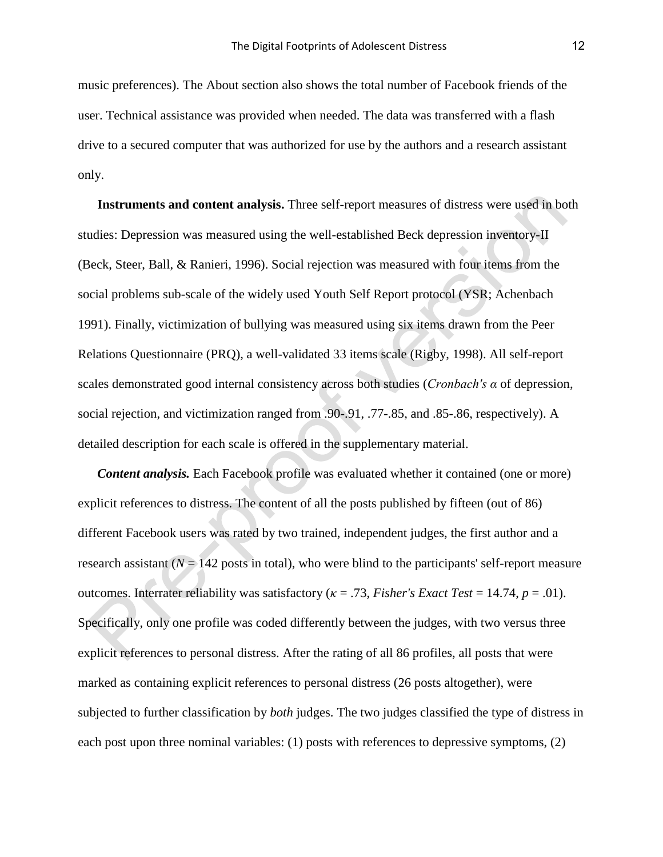music preferences). The About section also shows the total number of Facebook friends of the user. Technical assistance was provided when needed. The data was transferred with a flash drive to a secured computer that was authorized for use by the authors and a research assistant only.

**Instruments and content analysis.** Three self-report measures of distress were used in both studies: Depression was measured using the well-established Beck depression inventory-II (Beck, Steer, Ball, & Ranieri, 1996). Social rejection was measured with four items from the social problems sub-scale of the widely used Youth Self Report protocol (YSR; Achenbach 1991). Finally, victimization of bullying was measured using six items drawn from the Peer Relations Questionnaire (PRQ), a well-validated 33 items scale (Rigby, 1998). All self-report scales demonstrated good internal consistency across both studies (*Cronbach's α* of depression, social rejection, and victimization ranged from .90-.91, .77-.85, and .85-.86, respectively). A detailed description for each scale is offered in the supplementary material.

*Content analysis.* Each Facebook profile was evaluated whether it contained (one or more) explicit references to distress. The content of all the posts published by fifteen (out of 86) different Facebook users was rated by two trained, independent judges, the first author and a research assistant  $(N = 142$  posts in total), who were blind to the participants' self-report measure outcomes. Interrater reliability was satisfactory (*κ* = .73, *Fisher's Exact Test* = 14.74, *p* = .01). Specifically, only one profile was coded differently between the judges, with two versus three explicit references to personal distress. After the rating of all 86 profiles, all posts that were marked as containing explicit references to personal distress (26 posts altogether), were subjected to further classification by *both* judges. The two judges classified the type of distress in each post upon three nominal variables: (1) posts with references to depressive symptoms, (2)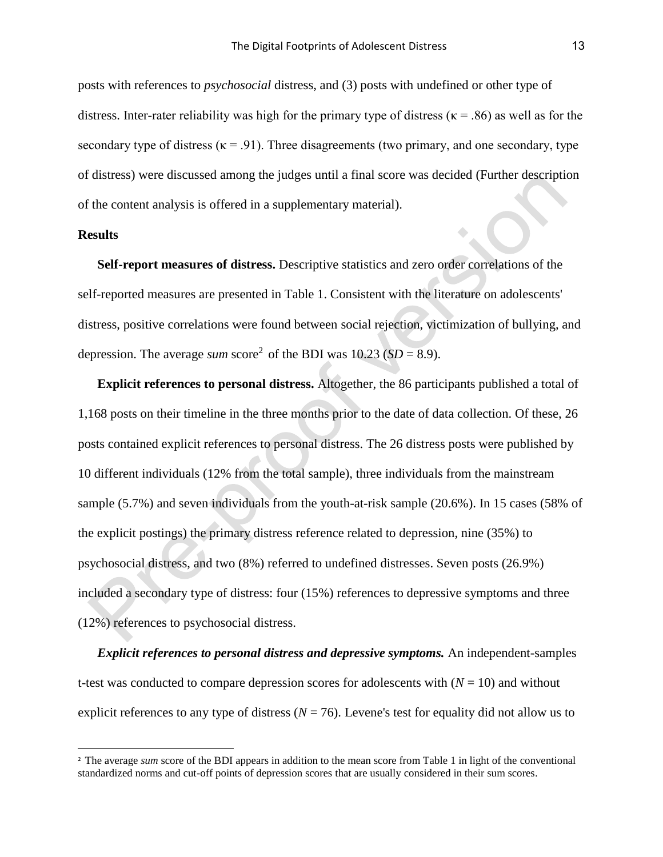posts with references to *psychosocial* distress, and (3) posts with undefined or other type of distress. Inter-rater reliability was high for the primary type of distress ( $\kappa$  = .86) as well as for the secondary type of distress ( $\kappa$  = .91). Three disagreements (two primary, and one secondary, type of distress) were discussed among the judges until a final score was decided (Further description of the content analysis is offered in a supplementary material).

### **Results**

÷

**Self-report measures of distress.** Descriptive statistics and zero order correlations of the self-reported measures are presented in Table 1. Consistent with the literature on adolescents' distress, positive correlations were found between social rejection, victimization of bullying, and depression. The average *sum* score<sup>2</sup> of the BDI was  $10.23$  (*SD* = 8.9).

**Explicit references to personal distress.** Altogether, the 86 participants published a total of 1,168 posts on their timeline in the three months prior to the date of data collection. Of these, 26 posts contained explicit references to personal distress. The 26 distress posts were published by 10 different individuals (12% from the total sample), three individuals from the mainstream sample (5.7%) and seven individuals from the youth-at-risk sample (20.6%). In 15 cases (58% of the explicit postings) the primary distress reference related to depression, nine (35%) to psychosocial distress, and two (8%) referred to undefined distresses. Seven posts (26.9%) included a secondary type of distress: four (15%) references to depressive symptoms and three (12%) references to psychosocial distress.

*Explicit references to personal distress and depressive symptoms.* An independent-samples t-test was conducted to compare depression scores for adolescents with  $(N = 10)$  and without explicit references to any type of distress ( $N = 76$ ). Levene's test for equality did not allow us to

<sup>&</sup>lt;sup>2</sup> The average *sum* score of the BDI appears in addition to the mean score from Table 1 in light of the conventional standardized norms and cut-off points of depression scores that are usually considered in their sum scores.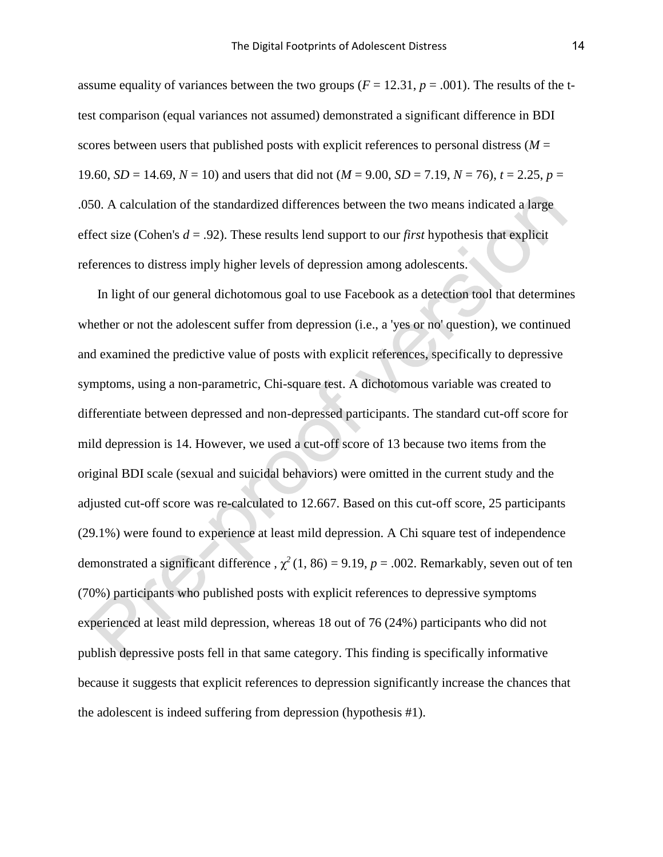assume equality of variances between the two groups ( $F = 12.31$ ,  $p = .001$ ). The results of the ttest comparison (equal variances not assumed) demonstrated a significant difference in BDI scores between users that published posts with explicit references to personal distress  $(M =$ 19.60, *SD* = 14.69, *N* = 10) and users that did not ( $M = 9.00$ , *SD* = 7.19,  $N = 76$ ),  $t = 2.25$ ,  $p =$ .050. A calculation of the standardized differences between the two means indicated a large effect size (Cohen's *d* = .92). These results lend support to our *first* hypothesis that explicit references to distress imply higher levels of depression among adolescents.

In light of our general dichotomous goal to use Facebook as a detection tool that determines whether or not the adolescent suffer from depression (i.e., a 'yes or no' question), we continued and examined the predictive value of posts with explicit references, specifically to depressive symptoms, using a non-parametric, Chi-square test. A dichotomous variable was created to differentiate between depressed and non-depressed participants. The standard cut-off score for mild depression is 14. However, we used a cut-off score of 13 because two items from the original BDI scale (sexual and suicidal behaviors) were omitted in the current study and the adjusted cut-off score was re-calculated to 12.667. Based on this cut-off score, 25 participants (29.1%) were found to experience at least mild depression. A Chi square test of independence demonstrated a significant difference ,  $\chi^2$  (1, 86) = 9.19, *p* = .002. Remarkably, seven out of ten (70%) participants who published posts with explicit references to depressive symptoms experienced at least mild depression, whereas 18 out of 76 (24%) participants who did not publish depressive posts fell in that same category. This finding is specifically informative because it suggests that explicit references to depression significantly increase the chances that the adolescent is indeed suffering from depression (hypothesis #1).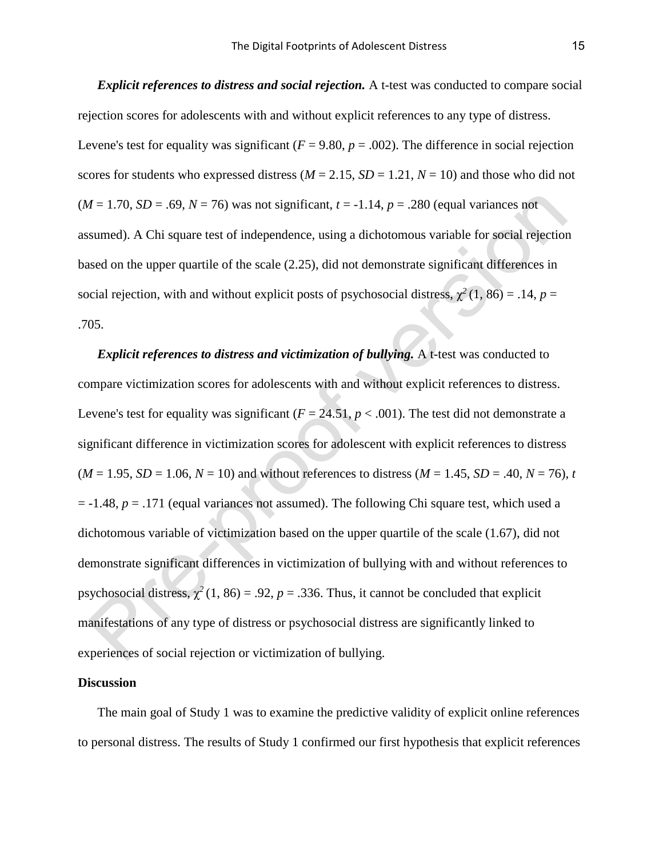*Explicit references to distress and social rejection.* A t-test was conducted to compare social rejection scores for adolescents with and without explicit references to any type of distress. Levene's test for equality was significant ( $F = 9.80$ ,  $p = .002$ ). The difference in social rejection scores for students who expressed distress ( $M = 2.15$ ,  $SD = 1.21$ ,  $N = 10$ ) and those who did not  $(M = 1.70, SD = .69, N = 76)$  was not significant,  $t = -1.14, p = .280$  (equal variances not assumed). A Chi square test of independence, using a dichotomous variable for social rejection based on the upper quartile of the scale (2.25), did not demonstrate significant differences in social rejection, with and without explicit posts of psychosocial distress,  $\chi^2(1, 86) = .14$ ,  $p =$ .705.

*Explicit references to distress and victimization of bullying.* A t-test was conducted to compare victimization scores for adolescents with and without explicit references to distress. Levene's test for equality was significant  $(F = 24.51, p < .001)$ . The test did not demonstrate a significant difference in victimization scores for adolescent with explicit references to distress  $(M = 1.95, SD = 1.06, N = 10)$  and without references to distress  $(M = 1.45, SD = .40, N = 76)$ , *t*  $= -1.48$ ,  $p = .171$  (equal variances not assumed). The following Chi square test, which used a dichotomous variable of victimization based on the upper quartile of the scale (1.67), did not demonstrate significant differences in victimization of bullying with and without references to psychosocial distress,  $\chi^2$  (1, 86) = .92, *p* = .336. Thus, it cannot be concluded that explicit manifestations of any type of distress or psychosocial distress are significantly linked to experiences of social rejection or victimization of bullying.

#### **Discussion**

The main goal of Study 1 was to examine the predictive validity of explicit online references to personal distress. The results of Study 1 confirmed our first hypothesis that explicit references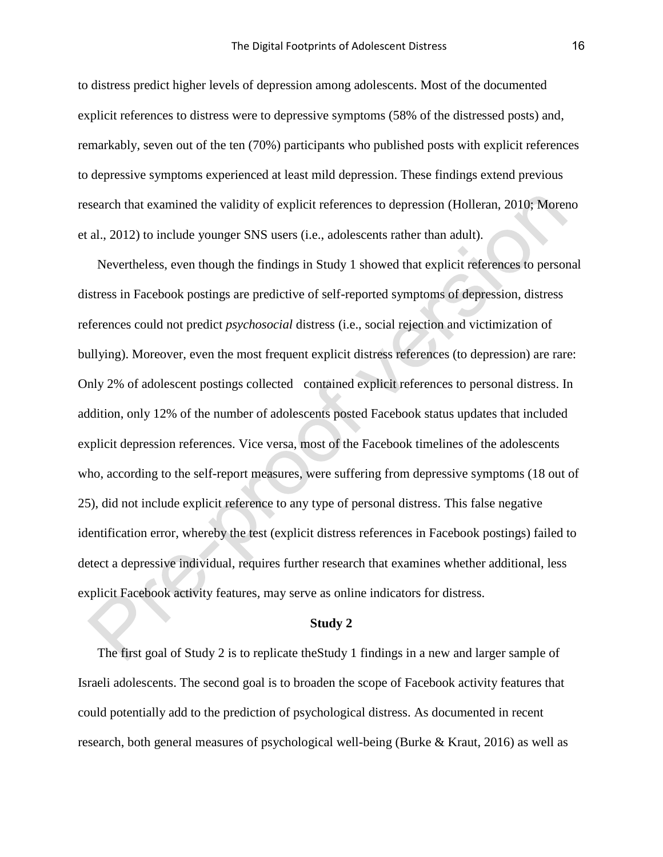to distress predict higher levels of depression among adolescents. Most of the documented explicit references to distress were to depressive symptoms (58% of the distressed posts) and, remarkably, seven out of the ten (70%) participants who published posts with explicit references to depressive symptoms experienced at least mild depression. These findings extend previous research that examined the validity of explicit references to depression (Holleran, 2010; Moreno et al., 2012) to include younger SNS users (i.e., adolescents rather than adult).

Nevertheless, even though the findings in Study 1 showed that explicit references to personal distress in Facebook postings are predictive of self-reported symptoms of depression, distress references could not predict *psychosocial* distress (i.e., social rejection and victimization of bullying). Moreover, even the most frequent explicit distress references (to depression) are rare: Only 2% of adolescent postings collected contained explicit references to personal distress. In addition, only 12% of the number of adolescents posted Facebook status updates that included explicit depression references. Vice versa, most of the Facebook timelines of the adolescents who, according to the self-report measures, were suffering from depressive symptoms (18 out of 25), did not include explicit reference to any type of personal distress. This false negative identification error, whereby the test (explicit distress references in Facebook postings) failed to detect a depressive individual, requires further research that examines whether additional, less explicit Facebook activity features, may serve as online indicators for distress.

#### **Study 2**

The first goal of Study 2 is to replicate theStudy 1 findings in a new and larger sample of Israeli adolescents. The second goal is to broaden the scope of Facebook activity features that could potentially add to the prediction of psychological distress. As documented in recent research, both general measures of psychological well-being (Burke & Kraut, 2016) as well as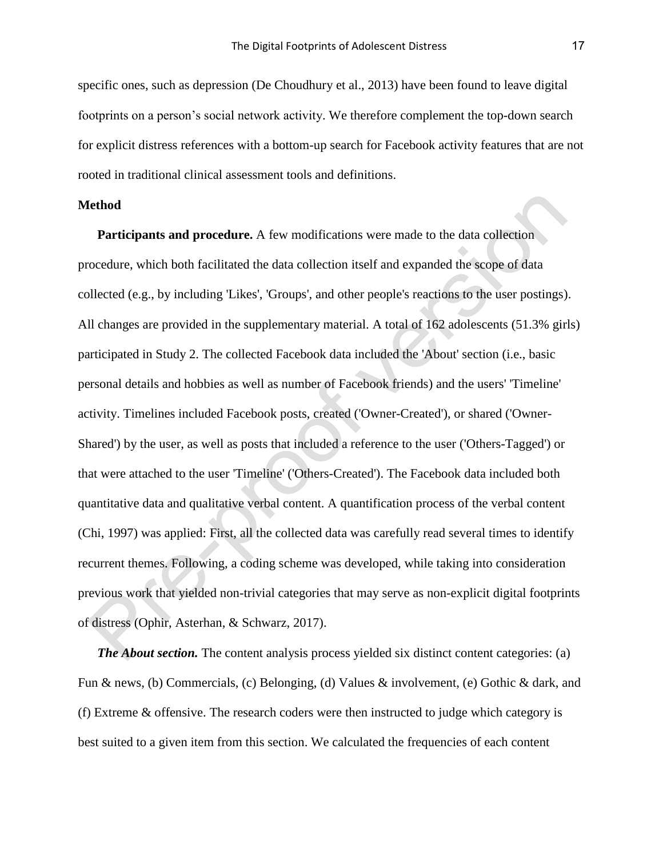specific ones, such as depression (De Choudhury et al., 2013) have been found to leave digital footprints on a person's social network activity. We therefore complement the top-down search for explicit distress references with a bottom-up search for Facebook activity features that are not rooted in traditional clinical assessment tools and definitions.

# **Method**

**Participants and procedure.** A few modifications were made to the data collection procedure, which both facilitated the data collection itself and expanded the scope of data collected (e.g., by including 'Likes', 'Groups', and other people's reactions to the user postings). All changes are provided in the supplementary material. A total of 162 adolescents (51.3% girls) participated in Study 2. The collected Facebook data included the 'About' section (i.e., basic personal details and hobbies as well as number of Facebook friends) and the users' 'Timeline' activity. Timelines included Facebook posts, created ('Owner-Created'), or shared ('Owner-Shared') by the user, as well as posts that included a reference to the user ('Others-Tagged') or that were attached to the user 'Timeline' ('Others-Created'). The Facebook data included both quantitative data and qualitative verbal content. A quantification process of the verbal content (Chi, 1997) was applied: First, all the collected data was carefully read several times to identify recurrent themes. Following, a coding scheme was developed, while taking into consideration previous work that yielded non-trivial categories that may serve as non-explicit digital footprints of distress (Ophir, Asterhan, & Schwarz, 2017).

*The About section.* The content analysis process yielded six distinct content categories: (a) Fun & news, (b) Commercials, (c) Belonging, (d) Values & involvement, (e) Gothic & dark, and (f) Extreme & offensive. The research coders were then instructed to judge which category is best suited to a given item from this section. We calculated the frequencies of each content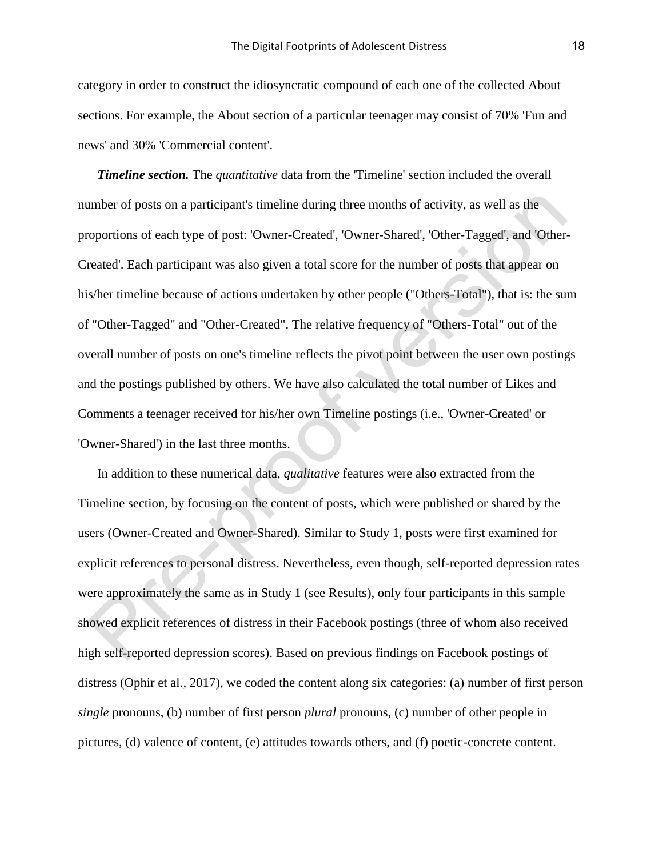category in order to construct the idiosyncratic compound of each one of the collected About sections. For example, the About section of a particular teenager may consist of 70% 'Fun and news' and 30% 'Commercial content'.

*Timeline section.* The *quantitative* data from the 'Timeline' section included the overall number of posts on a participant's timeline during three months of activity, as well as the proportions of each type of post: 'Owner-Created', 'Owner-Shared', 'Other-Tagged', and 'Other-Created'. Each participant was also given a total score for the number of posts that appear on his/her timeline because of actions undertaken by other people ("Others-Total"), that is: the sum of "Other-Tagged" and "Other-Created". The relative frequency of "Others-Total" out of the overall number of posts on one's timeline reflects the pivot point between the user own postings and the postings published by others. We have also calculated the total number of Likes and Comments a teenager received for his/her own Timeline postings (i.e., 'Owner-Created' or 'Owner-Shared') in the last three months.

In addition to these numerical data, *qualitative* features were also extracted from the Timeline section, by focusing on the content of posts, which were published or shared by the users (Owner-Created and Owner-Shared). Similar to Study 1, posts were first examined for explicit references to personal distress. Nevertheless, even though, self-reported depression rates were approximately the same as in Study 1 (see Results), only four participants in this sample showed explicit references of distress in their Facebook postings (three of whom also received high self-reported depression scores). Based on previous findings on Facebook postings of distress (Ophir et al., 2017), we coded the content along six categories: (a) number of first person *single* pronouns, (b) number of first person *plural* pronouns, (c) number of other people in pictures, (d) valence of content, (e) attitudes towards others, and (f) poetic-concrete content.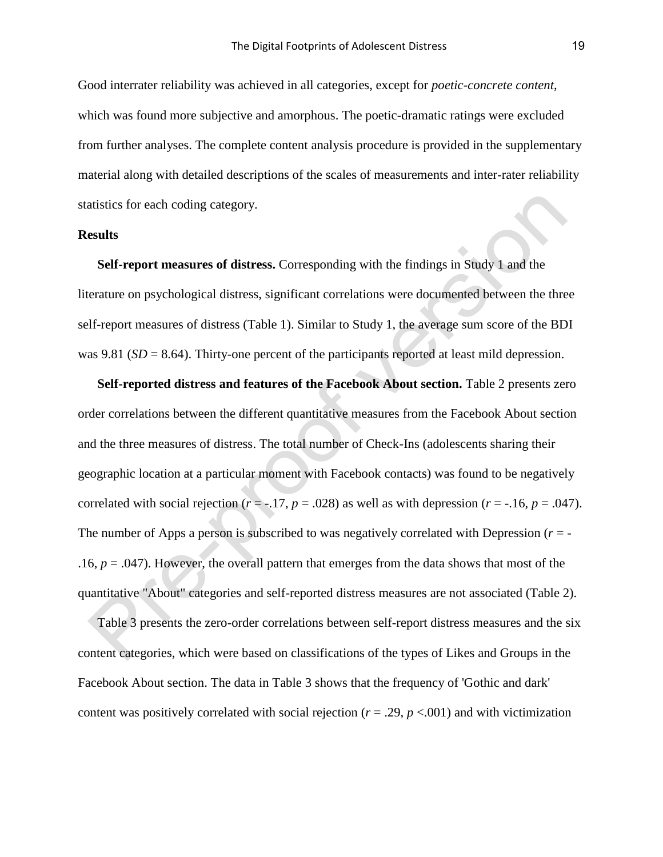Good interrater reliability was achieved in all categories, except for *poetic-concrete content*, which was found more subjective and amorphous. The poetic-dramatic ratings were excluded from further analyses. The complete content analysis procedure is provided in the supplementary material along with detailed descriptions of the scales of measurements and inter-rater reliability statistics for each coding category.

### **Results**

**Self-report measures of distress.** Corresponding with the findings in Study 1 and the literature on psychological distress, significant correlations were documented between the three self-report measures of distress (Table 1). Similar to Study 1, the average sum score of the BDI was 9.81 (*SD* = 8.64). Thirty-one percent of the participants reported at least mild depression.

**Self-reported distress and features of the Facebook About section.** Table 2 presents zero order correlations between the different quantitative measures from the Facebook About section and the three measures of distress. The total number of Check-Ins (adolescents sharing their geographic location at a particular moment with Facebook contacts) was found to be negatively correlated with social rejection ( $r = -.17$ ,  $p = .028$ ) as well as with depression ( $r = -.16$ ,  $p = .047$ ). The number of Apps a person is subscribed to was negatively correlated with Depression  $(r = -1)$ .16,  $p = .047$ ). However, the overall pattern that emerges from the data shows that most of the quantitative "About" categories and self-reported distress measures are not associated (Table 2).

Table 3 presents the zero-order correlations between self-report distress measures and the six content categories, which were based on classifications of the types of Likes and Groups in the Facebook About section. The data in Table 3 shows that the frequency of 'Gothic and dark' content was positively correlated with social rejection ( $r = .29$ ,  $p < .001$ ) and with victimization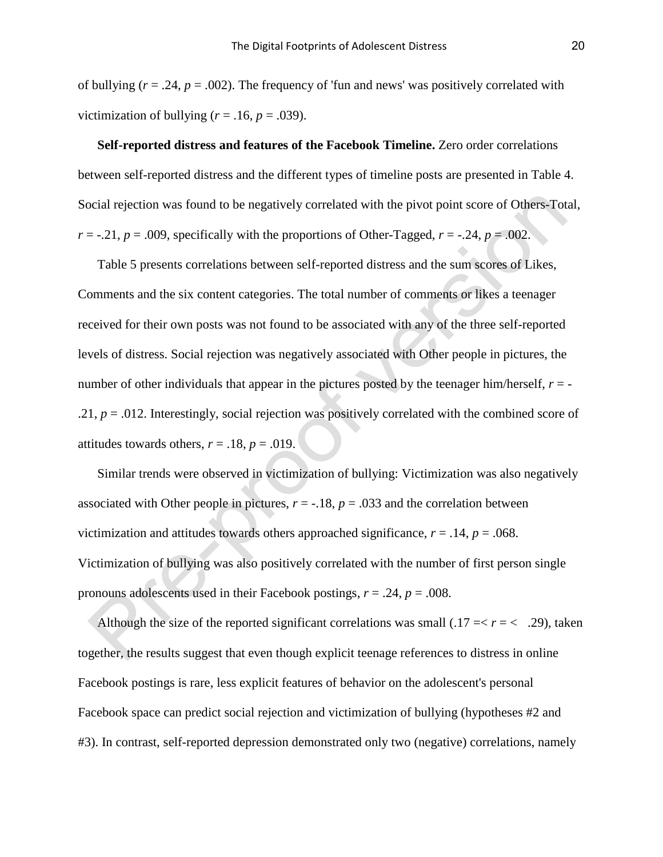of bullying  $(r = .24, p = .002)$ . The frequency of 'fun and news' was positively correlated with victimization of bullying  $(r = .16, p = .039)$ .

**Self-reported distress and features of the Facebook Timeline.** Zero order correlations between self-reported distress and the different types of timeline posts are presented in Table 4. Social rejection was found to be negatively correlated with the pivot point score of Others-Total,  $r = -0.21$ ,  $p = 0.009$ , specifically with the proportions of Other-Tagged,  $r = -0.24$ ,  $p = 0.002$ .

Table 5 presents correlations between self-reported distress and the sum scores of Likes, Comments and the six content categories. The total number of comments or likes a teenager received for their own posts was not found to be associated with any of the three self-reported levels of distress. Social rejection was negatively associated with Other people in pictures, the number of other individuals that appear in the pictures posted by the teenager him/herself,  $r = -$ .21,  $p = .012$ . Interestingly, social rejection was positively correlated with the combined score of attitudes towards others,  $r = .18$ ,  $p = .019$ .

Similar trends were observed in victimization of bullying: Victimization was also negatively associated with Other people in pictures,  $r = -18$ ,  $p = .033$  and the correlation between victimization and attitudes towards others approached significance,  $r = .14$ ,  $p = .068$ . Victimization of bullying was also positively correlated with the number of first person single pronouns adolescents used in their Facebook postings, *r* = .24, *p* = .008.

Although the size of the reported significant correlations was small  $(.17 = < r = < .29)$ , taken together, the results suggest that even though explicit teenage references to distress in online Facebook postings is rare, less explicit features of behavior on the adolescent's personal Facebook space can predict social rejection and victimization of bullying (hypotheses #2 and #3). In contrast, self-reported depression demonstrated only two (negative) correlations, namely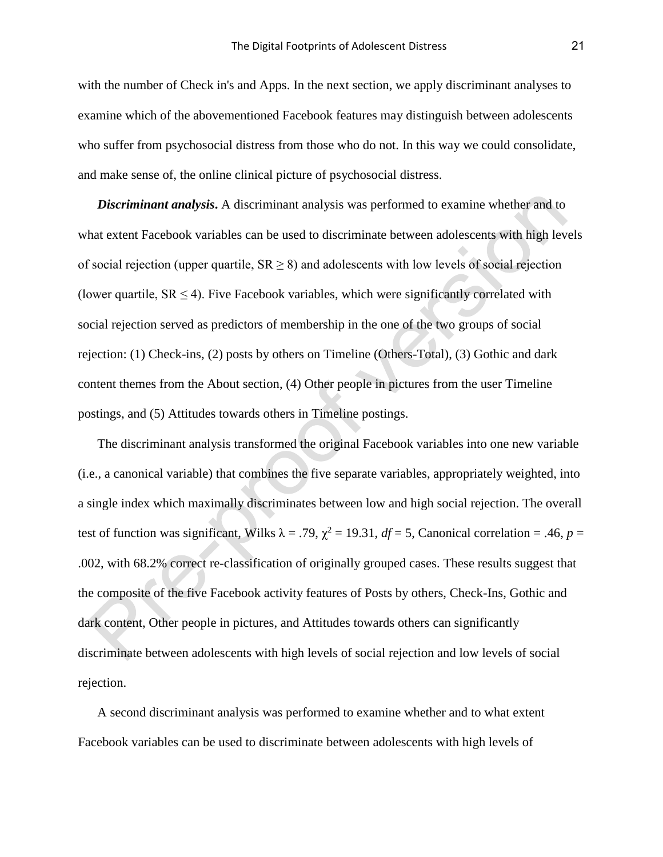with the number of Check in's and Apps. In the next section, we apply discriminant analyses to examine which of the abovementioned Facebook features may distinguish between adolescents who suffer from psychosocial distress from those who do not. In this way we could consolidate, and make sense of, the online clinical picture of psychosocial distress.

*Discriminant analysis***.** A discriminant analysis was performed to examine whether and to what extent Facebook variables can be used to discriminate between adolescents with high levels of social rejection (upper quartile,  $SR \ge 8$ ) and adolescents with low levels of social rejection (lower quartile,  $SR < 4$ ). Five Facebook variables, which were significantly correlated with social rejection served as predictors of membership in the one of the two groups of social rejection: (1) Check-ins, (2) posts by others on Timeline (Others-Total), (3) Gothic and dark content themes from the About section, (4) Other people in pictures from the user Timeline postings, and (5) Attitudes towards others in Timeline postings.

The discriminant analysis transformed the original Facebook variables into one new variable (i.e., a canonical variable) that combines the five separate variables, appropriately weighted, into a single index which maximally discriminates between low and high social rejection. The overall test of function was significant, Wilks  $\lambda = .79$ ,  $\chi^2 = 19.31$ ,  $df = 5$ , Canonical correlation = .46,  $p =$ .002, with 68.2% correct re-classification of originally grouped cases. These results suggest that the composite of the five Facebook activity features of Posts by others, Check-Ins, Gothic and dark content, Other people in pictures, and Attitudes towards others can significantly discriminate between adolescents with high levels of social rejection and low levels of social rejection.

A second discriminant analysis was performed to examine whether and to what extent Facebook variables can be used to discriminate between adolescents with high levels of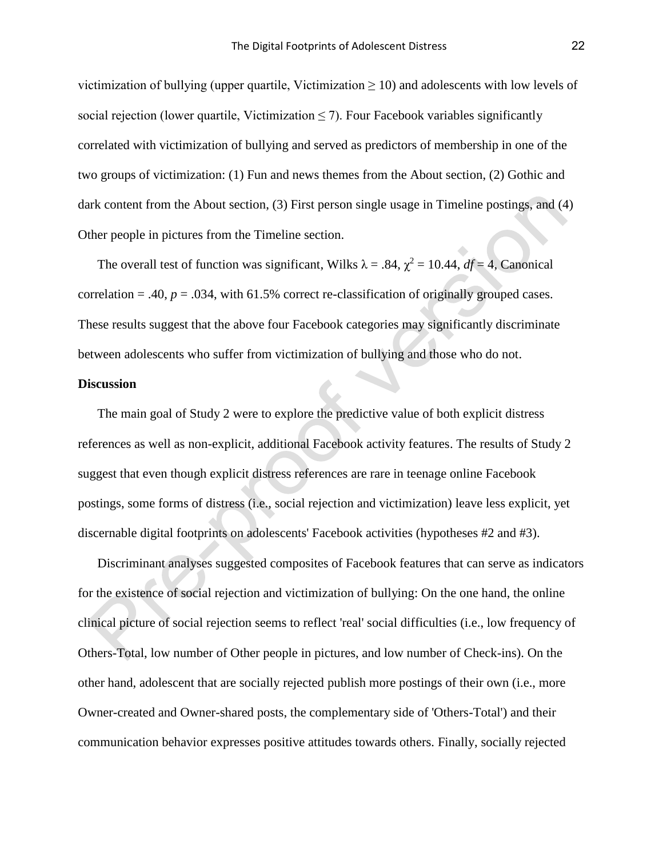victimization of bullying (upper quartile, Victimization  $\geq$  10) and adolescents with low levels of social rejection (lower quartile, Victimization  $\leq$  7). Four Facebook variables significantly correlated with victimization of bullying and served as predictors of membership in one of the two groups of victimization: (1) Fun and news themes from the About section, (2) Gothic and dark content from the About section, (3) First person single usage in Timeline postings, and (4) Other people in pictures from the Timeline section.

The overall test of function was significant, Wilks  $\lambda = .84$ ,  $\chi^2 = 10.44$ ,  $df = 4$ , Canonical correlation = .40,  $p = .034$ , with 61.5% correct re-classification of originally grouped cases. These results suggest that the above four Facebook categories may significantly discriminate between adolescents who suffer from victimization of bullying and those who do not.

## **Discussion**

The main goal of Study 2 were to explore the predictive value of both explicit distress references as well as non-explicit, additional Facebook activity features. The results of Study 2 suggest that even though explicit distress references are rare in teenage online Facebook postings, some forms of distress (i.e., social rejection and victimization) leave less explicit, yet discernable digital footprints on adolescents' Facebook activities (hypotheses #2 and #3).

Discriminant analyses suggested composites of Facebook features that can serve as indicators for the existence of social rejection and victimization of bullying: On the one hand, the online clinical picture of social rejection seems to reflect 'real' social difficulties (i.e., low frequency of Others-Total, low number of Other people in pictures, and low number of Check-ins). On the other hand, adolescent that are socially rejected publish more postings of their own (i.e., more Owner-created and Owner-shared posts, the complementary side of 'Others-Total') and their communication behavior expresses positive attitudes towards others. Finally, socially rejected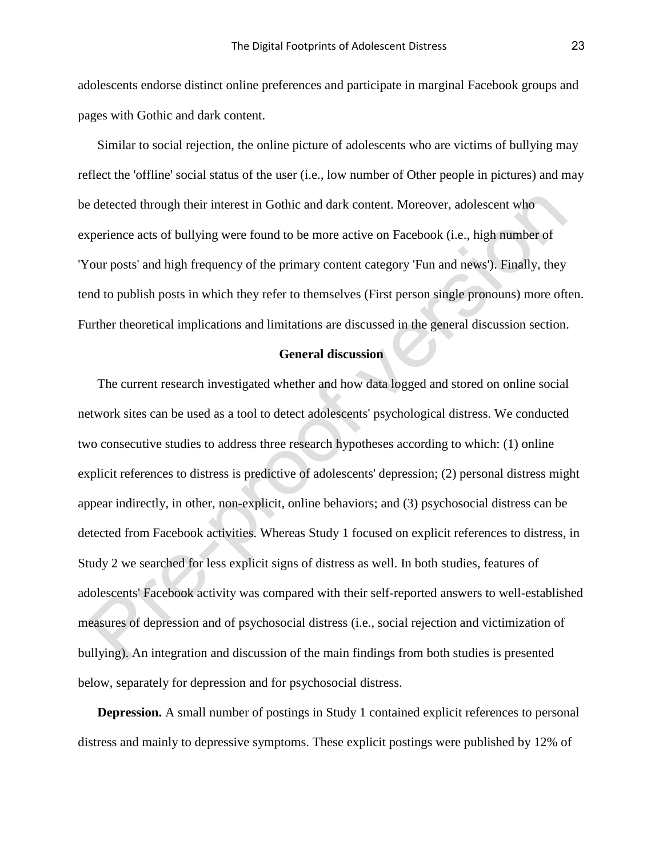adolescents endorse distinct online preferences and participate in marginal Facebook groups and pages with Gothic and dark content.

Similar to social rejection, the online picture of adolescents who are victims of bullying may reflect the 'offline' social status of the user (i.e., low number of Other people in pictures) and may be detected through their interest in Gothic and dark content. Moreover, adolescent who experience acts of bullying were found to be more active on Facebook (i.e., high number of 'Your posts' and high frequency of the primary content category 'Fun and news'). Finally, they tend to publish posts in which they refer to themselves (First person single pronouns) more often. Further theoretical implications and limitations are discussed in the general discussion section.

### **General discussion**

The current research investigated whether and how data logged and stored on online social network sites can be used as a tool to detect adolescents' psychological distress. We conducted two consecutive studies to address three research hypotheses according to which: (1) online explicit references to distress is predictive of adolescents' depression; (2) personal distress might appear indirectly, in other, non-explicit, online behaviors; and (3) psychosocial distress can be detected from Facebook activities. Whereas Study 1 focused on explicit references to distress, in Study 2 we searched for less explicit signs of distress as well. In both studies, features of adolescents' Facebook activity was compared with their self-reported answers to well-established measures of depression and of psychosocial distress (i.e., social rejection and victimization of bullying). An integration and discussion of the main findings from both studies is presented below, separately for depression and for psychosocial distress.

**Depression.** A small number of postings in Study 1 contained explicit references to personal distress and mainly to depressive symptoms. These explicit postings were published by 12% of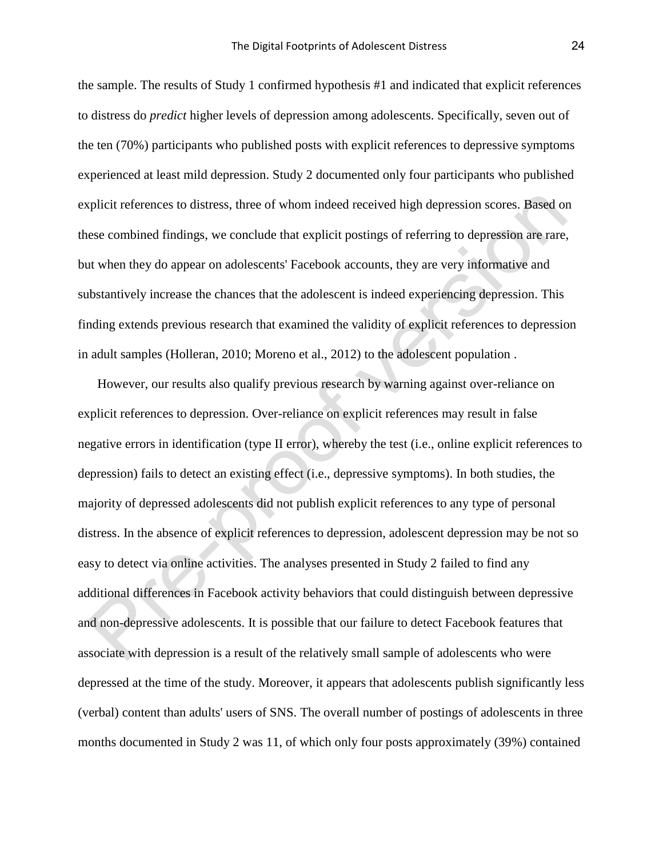the sample. The results of Study 1 confirmed hypothesis #1 and indicated that explicit references to distress do *predict* higher levels of depression among adolescents. Specifically, seven out of the ten (70%) participants who published posts with explicit references to depressive symptoms experienced at least mild depression. Study 2 documented only four participants who published explicit references to distress, three of whom indeed received high depression scores. Based on these combined findings, we conclude that explicit postings of referring to depression are rare, but when they do appear on adolescents' Facebook accounts, they are very informative and substantively increase the chances that the adolescent is indeed experiencing depression. This finding extends previous research that examined the validity of explicit references to depression in adult samples (Holleran, 2010; Moreno et al., 2012) to the adolescent population .

However, our results also qualify previous research by warning against over-reliance on explicit references to depression. Over-reliance on explicit references may result in false negative errors in identification (type II error), whereby the test (i.e., online explicit references to depression) fails to detect an existing effect (i.e., depressive symptoms). In both studies, the majority of depressed adolescents did not publish explicit references to any type of personal distress. In the absence of explicit references to depression, adolescent depression may be not so easy to detect via online activities. The analyses presented in Study 2 failed to find any additional differences in Facebook activity behaviors that could distinguish between depressive and non-depressive adolescents. It is possible that our failure to detect Facebook features that associate with depression is a result of the relatively small sample of adolescents who were depressed at the time of the study. Moreover, it appears that adolescents publish significantly less (verbal) content than adults' users of SNS. The overall number of postings of adolescents in three months documented in Study 2 was 11, of which only four posts approximately (39%) contained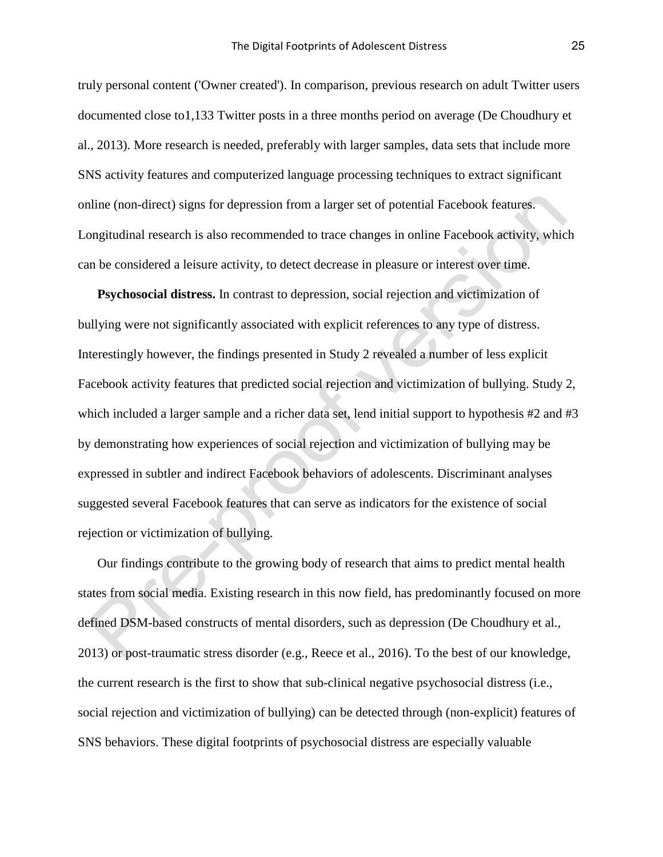truly personal content ('Owner created'). In comparison, previous research on adult Twitter users documented close to1,133 Twitter posts in a three months period on average (De Choudhury et al., 2013). More research is needed, preferably with larger samples, data sets that include more SNS activity features and computerized language processing techniques to extract significant online (non-direct) signs for depression from a larger set of potential Facebook features. Longitudinal research is also recommended to trace changes in online Facebook activity, which can be considered a leisure activity, to detect decrease in pleasure or interest over time.

**Psychosocial distress.** In contrast to depression, social rejection and victimization of bullying were not significantly associated with explicit references to any type of distress. Interestingly however, the findings presented in Study 2 revealed a number of less explicit Facebook activity features that predicted social rejection and victimization of bullying. Study 2, which included a larger sample and a richer data set, lend initial support to hypothesis #2 and #3 by demonstrating how experiences of social rejection and victimization of bullying may be expressed in subtler and indirect Facebook behaviors of adolescents. Discriminant analyses suggested several Facebook features that can serve as indicators for the existence of social rejection or victimization of bullying.

Our findings contribute to the growing body of research that aims to predict mental health states from social media. Existing research in this now field, has predominantly focused on more defined DSM-based constructs of mental disorders, such as depression (De Choudhury et al., 2013) or post-traumatic stress disorder (e.g., Reece et al., 2016). To the best of our knowledge, the current research is the first to show that sub-clinical negative psychosocial distress (i.e., social rejection and victimization of bullying) can be detected through (non-explicit) features of SNS behaviors. These digital footprints of psychosocial distress are especially valuable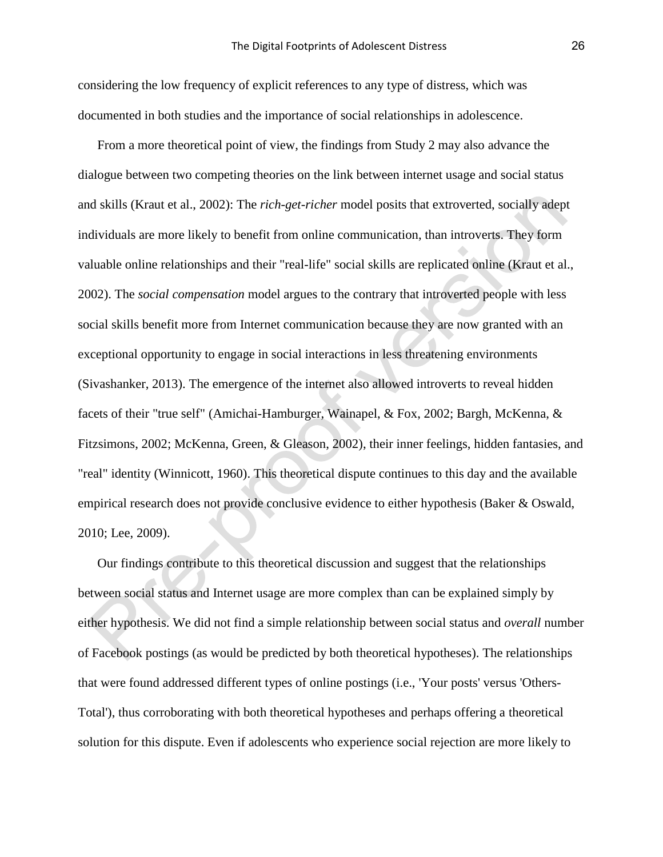considering the low frequency of explicit references to any type of distress, which was documented in both studies and the importance of social relationships in adolescence.

From a more theoretical point of view, the findings from Study 2 may also advance the dialogue between two competing theories on the link between internet usage and social status and skills (Kraut et al., 2002): The *rich-get-richer* model posits that extroverted, socially adept individuals are more likely to benefit from online communication, than introverts. They form valuable online relationships and their "real-life" social skills are replicated online (Kraut et al., 2002). The *social compensation* model argues to the contrary that introverted people with less social skills benefit more from Internet communication because they are now granted with an exceptional opportunity to engage in social interactions in less threatening environments (Sivashanker, 2013). The emergence of the internet also allowed introverts to reveal hidden facets of their "true self" (Amichai-Hamburger, Wainapel, & Fox, 2002; Bargh, McKenna, & Fitzsimons, 2002; McKenna, Green, & Gleason, 2002), their inner feelings, hidden fantasies, and "real" identity (Winnicott, 1960). This theoretical dispute continues to this day and the available empirical research does not provide conclusive evidence to either hypothesis (Baker & Oswald, 2010; Lee, 2009).

Our findings contribute to this theoretical discussion and suggest that the relationships between social status and Internet usage are more complex than can be explained simply by either hypothesis. We did not find a simple relationship between social status and *overall* number of Facebook postings (as would be predicted by both theoretical hypotheses). The relationships that were found addressed different types of online postings (i.e., 'Your posts' versus 'Others-Total'), thus corroborating with both theoretical hypotheses and perhaps offering a theoretical solution for this dispute. Even if adolescents who experience social rejection are more likely to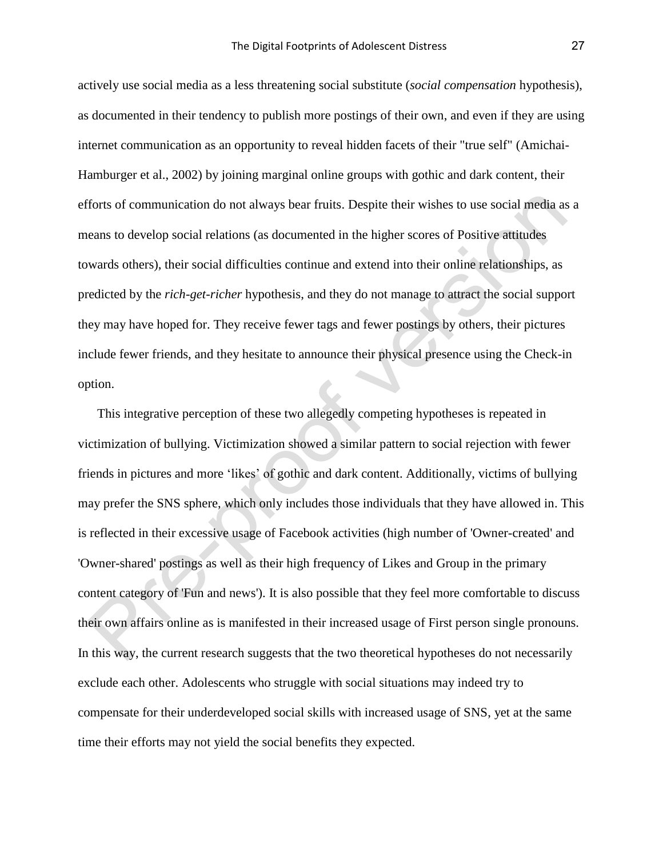actively use social media as a less threatening social substitute (*social compensation* hypothesis), as documented in their tendency to publish more postings of their own, and even if they are using internet communication as an opportunity to reveal hidden facets of their "true self" (Amichai-Hamburger et al., 2002) by joining marginal online groups with gothic and dark content, their efforts of communication do not always bear fruits. Despite their wishes to use social media as a means to develop social relations (as documented in the higher scores of Positive attitudes towards others), their social difficulties continue and extend into their online relationships, as predicted by the *rich-get-richer* hypothesis, and they do not manage to attract the social support they may have hoped for. They receive fewer tags and fewer postings by others, their pictures include fewer friends, and they hesitate to announce their physical presence using the Check-in option.

This integrative perception of these two allegedly competing hypotheses is repeated in victimization of bullying. Victimization showed a similar pattern to social rejection with fewer friends in pictures and more 'likes' of gothic and dark content. Additionally, victims of bullying may prefer the SNS sphere, which only includes those individuals that they have allowed in. This is reflected in their excessive usage of Facebook activities (high number of 'Owner-created' and 'Owner-shared' postings as well as their high frequency of Likes and Group in the primary content category of 'Fun and news'). It is also possible that they feel more comfortable to discuss their own affairs online as is manifested in their increased usage of First person single pronouns. In this way, the current research suggests that the two theoretical hypotheses do not necessarily exclude each other. Adolescents who struggle with social situations may indeed try to compensate for their underdeveloped social skills with increased usage of SNS, yet at the same time their efforts may not yield the social benefits they expected.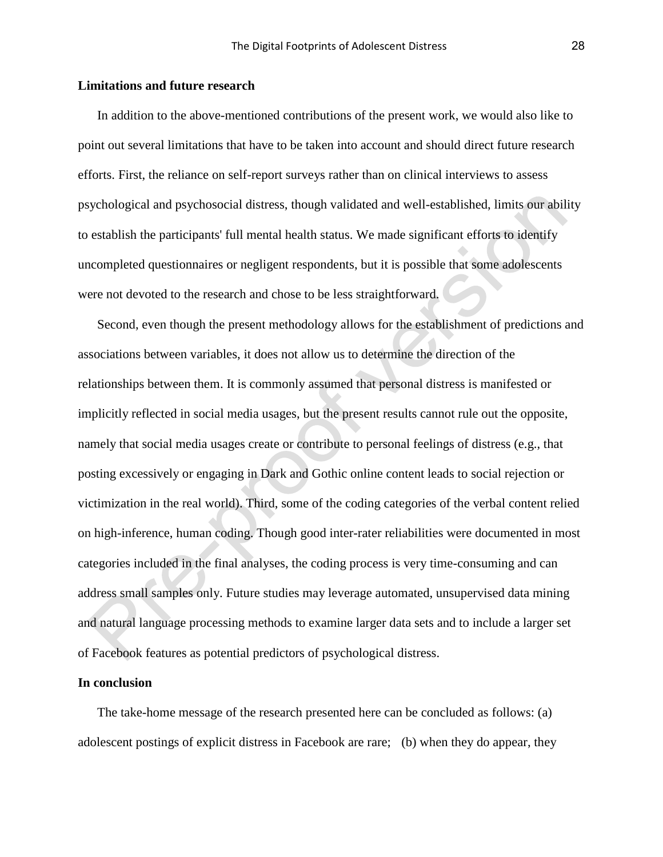### **Limitations and future research**

In addition to the above-mentioned contributions of the present work, we would also like to point out several limitations that have to be taken into account and should direct future research efforts. First, the reliance on self-report surveys rather than on clinical interviews to assess psychological and psychosocial distress, though validated and well-established, limits our ability to establish the participants' full mental health status. We made significant efforts to identify uncompleted questionnaires or negligent respondents, but it is possible that some adolescents were not devoted to the research and chose to be less straightforward.

Second, even though the present methodology allows for the establishment of predictions and associations between variables, it does not allow us to determine the direction of the relationships between them. It is commonly assumed that personal distress is manifested or implicitly reflected in social media usages, but the present results cannot rule out the opposite, namely that social media usages create or contribute to personal feelings of distress (e.g., that posting excessively or engaging in Dark and Gothic online content leads to social rejection or victimization in the real world). Third, some of the coding categories of the verbal content relied on high-inference, human coding. Though good inter-rater reliabilities were documented in most categories included in the final analyses, the coding process is very time-consuming and can address small samples only. Future studies may leverage automated, unsupervised data mining and natural language processing methods to examine larger data sets and to include a larger set of Facebook features as potential predictors of psychological distress.

### **In conclusion**

The take-home message of the research presented here can be concluded as follows: (a) adolescent postings of explicit distress in Facebook are rare; (b) when they do appear, they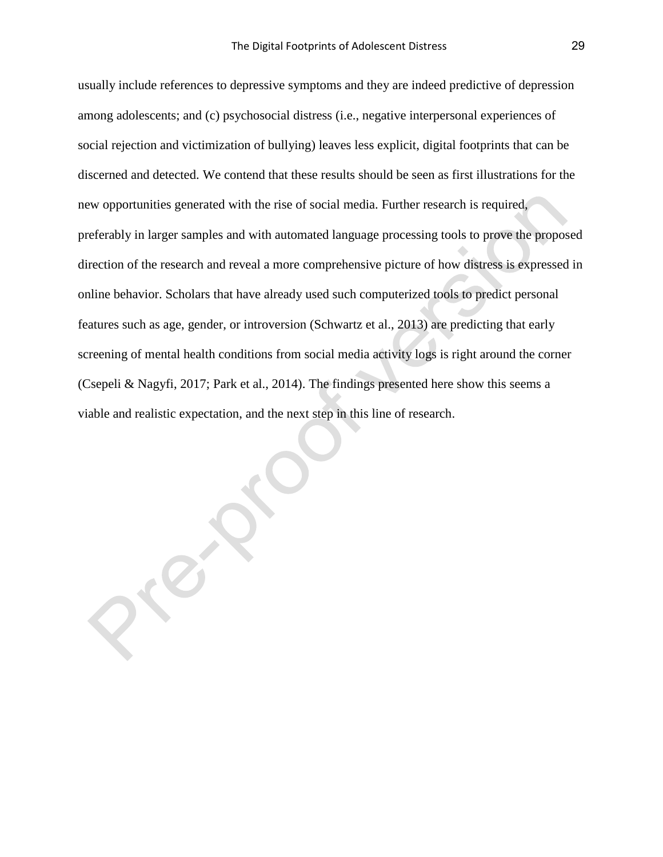usually include references to depressive symptoms and they are indeed predictive of depression among adolescents; and (c) psychosocial distress (i.e., negative interpersonal experiences of social rejection and victimization of bullying) leaves less explicit, digital footprints that can be discerned and detected. We contend that these results should be seen as first illustrations for the new opportunities generated with the rise of social media. Further research is required, preferably in larger samples and with automated language processing tools to prove the proposed direction of the research and reveal a more comprehensive picture of how distress is expressed in online behavior. Scholars that have already used such computerized tools to predict personal features such as age, gender, or introversion (Schwartz et al., 2013) are predicting that early screening of mental health conditions from social media activity logs is right around the corner (Csepeli & Nagyfi, 2017; Park et al., 2014). The findings presented here show this seems a viable and realistic expectation, and the next step in this line of research.

Preve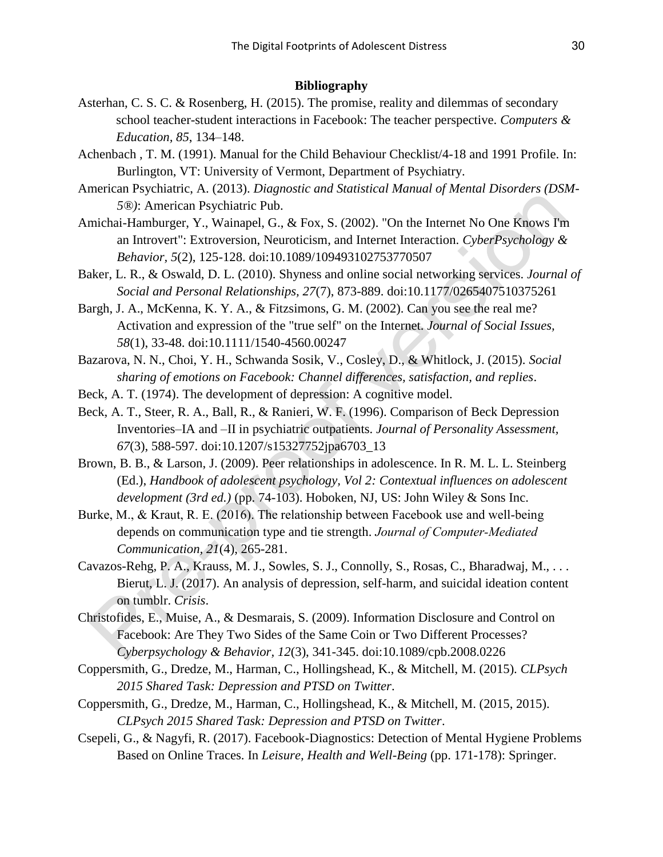## **Bibliography**

- Asterhan, C. S. C. & Rosenberg, H. (2015). The promise, reality and dilemmas of secondary school teacher-student interactions in Facebook: The teacher perspective. *Computers & Education, 85*, 134–148.
- Achenbach , T. M. (1991). Manual for the Child Behaviour Checklist/4-18 and 1991 Profile. In: Burlington, VT: University of Vermont, Department of Psychiatry.
- American Psychiatric, A. (2013). *Diagnostic and Statistical Manual of Mental Disorders (DSM-5®)*: American Psychiatric Pub.
- Amichai-Hamburger, Y., Wainapel, G., & Fox, S. (2002). "On the Internet No One Knows I'm an Introvert": Extroversion, Neuroticism, and Internet Interaction. *CyberPsychology & Behavior, 5*(2), 125-128. doi:10.1089/109493102753770507
- Baker, L. R., & Oswald, D. L. (2010). Shyness and online social networking services. *Journal of Social and Personal Relationships, 27*(7), 873-889. doi:10.1177/0265407510375261
- Bargh, J. A., McKenna, K. Y. A., & Fitzsimons, G. M. (2002). Can you see the real me? Activation and expression of the "true self" on the Internet. *Journal of Social Issues, 58*(1), 33-48. doi:10.1111/1540-4560.00247
- Bazarova, N. N., Choi, Y. H., Schwanda Sosik, V., Cosley, D., & Whitlock, J. (2015). *Social sharing of emotions on Facebook: Channel differences, satisfaction, and replies*.
- Beck, A. T. (1974). The development of depression: A cognitive model.
- Beck, A. T., Steer, R. A., Ball, R., & Ranieri, W. F. (1996). Comparison of Beck Depression Inventories–IA and –II in psychiatric outpatients. *Journal of Personality Assessment, 67*(3), 588-597. doi:10.1207/s15327752jpa6703\_13
- Brown, B. B., & Larson, J. (2009). Peer relationships in adolescence. In R. M. L. L. Steinberg (Ed.), *Handbook of adolescent psychology, Vol 2: Contextual influences on adolescent development (3rd ed.)* (pp. 74-103). Hoboken, NJ, US: John Wiley & Sons Inc.
- Burke, M., & Kraut, R. E. (2016). The relationship between Facebook use and well-being depends on communication type and tie strength. *Journal of Computer‐Mediated Communication, 21*(4), 265-281.
- Cavazos-Rehg, P. A., Krauss, M. J., Sowles, S. J., Connolly, S., Rosas, C., Bharadwaj, M., . . . Bierut, L. J. (2017). An analysis of depression, self-harm, and suicidal ideation content on tumblr. *Crisis*.
- Christofides, E., Muise, A., & Desmarais, S. (2009). Information Disclosure and Control on Facebook: Are They Two Sides of the Same Coin or Two Different Processes? *Cyberpsychology & Behavior, 12*(3), 341-345. doi:10.1089/cpb.2008.0226
- Coppersmith, G., Dredze, M., Harman, C., Hollingshead, K., & Mitchell, M. (2015). *CLPsych 2015 Shared Task: Depression and PTSD on Twitter*.
- Coppersmith, G., Dredze, M., Harman, C., Hollingshead, K., & Mitchell, M. (2015, 2015). *CLPsych 2015 Shared Task: Depression and PTSD on Twitter*.
- Csepeli, G., & Nagyfi, R. (2017). Facebook-Diagnostics: Detection of Mental Hygiene Problems Based on Online Traces. In *Leisure, Health and Well-Being* (pp. 171-178): Springer.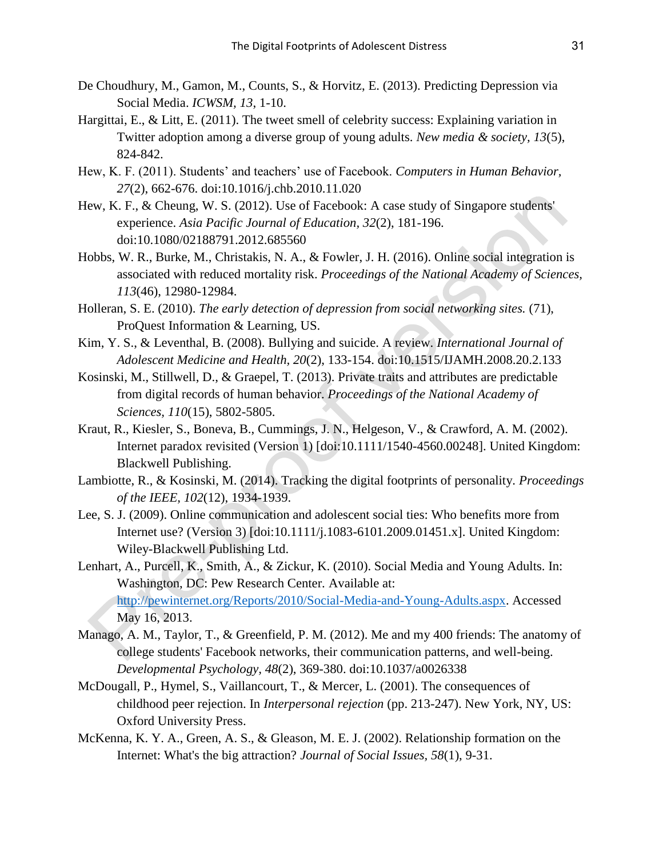- De Choudhury, M., Gamon, M., Counts, S., & Horvitz, E. (2013). Predicting Depression via Social Media. *ICWSM, 13*, 1-10.
- Hargittai, E., & Litt, E. (2011). The tweet smell of celebrity success: Explaining variation in Twitter adoption among a diverse group of young adults. *New media & society, 13*(5), 824-842.
- Hew, K. F. (2011). Students' and teachers' use of Facebook. *Computers in Human Behavior, 27*(2), 662-676. doi:10.1016/j.chb.2010.11.020
- Hew, K. F., & Cheung, W. S. (2012). Use of Facebook: A case study of Singapore students' experience. *Asia Pacific Journal of Education, 32*(2), 181-196. doi:10.1080/02188791.2012.685560
- Hobbs, W. R., Burke, M., Christakis, N. A., & Fowler, J. H. (2016). Online social integration is associated with reduced mortality risk. *Proceedings of the National Academy of Sciences, 113*(46), 12980-12984.
- Holleran, S. E. (2010). *The early detection of depression from social networking sites.* (71), ProQuest Information & Learning, US.
- Kim, Y. S., & Leventhal, B. (2008). Bullying and suicide. A review. *International Journal of Adolescent Medicine and Health, 20*(2), 133-154. doi:10.1515/IJAMH.2008.20.2.133
- Kosinski, M., Stillwell, D., & Graepel, T. (2013). Private traits and attributes are predictable from digital records of human behavior. *Proceedings of the National Academy of Sciences, 110*(15), 5802-5805.
- Kraut, R., Kiesler, S., Boneva, B., Cummings, J. N., Helgeson, V., & Crawford, A. M. (2002). Internet paradox revisited (Version 1) [doi:10.1111/1540-4560.00248]. United Kingdom: Blackwell Publishing.
- Lambiotte, R., & Kosinski, M. (2014). Tracking the digital footprints of personality. *Proceedings of the IEEE, 102*(12), 1934-1939.
- Lee, S. J. (2009). Online communication and adolescent social ties: Who benefits more from Internet use? (Version 3) [doi:10.1111/j.1083-6101.2009.01451.x]. United Kingdom: Wiley-Blackwell Publishing Ltd.
- Lenhart, A., Purcell, K., Smith, A., & Zickur, K. (2010). Social Media and Young Adults. In: Washington, DC: Pew Research Center. Available at: [http://pewinternet.org/Reports/2010/Social-Media-and-Young-Adults.aspx.](http://pewinternet.org/Reports/2010/Social-Media-and-Young-Adults.aspx) Accessed May 16, 2013.
- Manago, A. M., Taylor, T., & Greenfield, P. M. (2012). Me and my 400 friends: The anatomy of college students' Facebook networks, their communication patterns, and well-being. *Developmental Psychology, 48*(2), 369-380. doi:10.1037/a0026338
- McDougall, P., Hymel, S., Vaillancourt, T., & Mercer, L. (2001). The consequences of childhood peer rejection. In *Interpersonal rejection* (pp. 213-247). New York, NY, US: Oxford University Press.
- McKenna, K. Y. A., Green, A. S., & Gleason, M. E. J. (2002). Relationship formation on the Internet: What's the big attraction? *Journal of Social Issues, 58*(1), 9-31.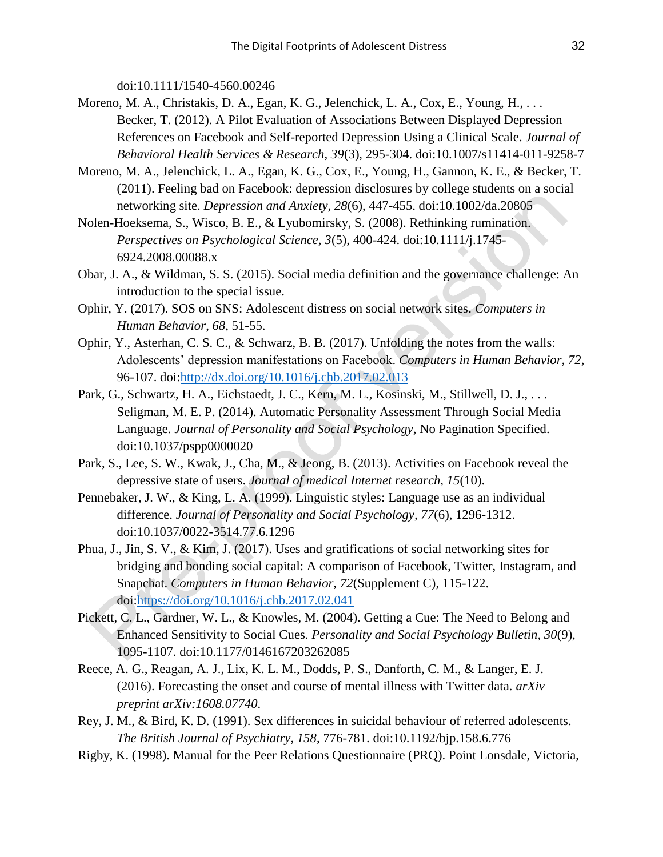doi:10.1111/1540-4560.00246

- Moreno, M. A., Christakis, D. A., Egan, K. G., Jelenchick, L. A., Cox, E., Young, H., ... Becker, T. (2012). A Pilot Evaluation of Associations Between Displayed Depression References on Facebook and Self-reported Depression Using a Clinical Scale. *Journal of Behavioral Health Services & Research, 39*(3), 295-304. doi:10.1007/s11414-011-9258-7
- Moreno, M. A., Jelenchick, L. A., Egan, K. G., Cox, E., Young, H., Gannon, K. E., & Becker, T. (2011). Feeling bad on Facebook: depression disclosures by college students on a social networking site. *Depression and Anxiety, 28*(6), 447-455. doi:10.1002/da.20805
- Nolen-Hoeksema, S., Wisco, B. E., & Lyubomirsky, S. (2008). Rethinking rumination. *Perspectives on Psychological Science, 3*(5), 400-424. doi:10.1111/j.1745- 6924.2008.00088.x
- Obar, J. A., & Wildman, S. S. (2015). Social media definition and the governance challenge: An introduction to the special issue.
- Ophir, Y. (2017). SOS on SNS: Adolescent distress on social network sites. *Computers in Human Behavior*, *68*, 51-55.
- Ophir, Y., Asterhan, C. S. C., & Schwarz, B. B. (2017). Unfolding the notes from the walls: Adolescents' depression manifestations on Facebook. *Computers in Human Behavior, 72*, 96-107. doi[:http://dx.doi.org/10.1016/j.chb.2017.02.013](http://dx.doi.org/10.1016/j.chb.2017.02.013)
- Park, G., Schwartz, H. A., Eichstaedt, J. C., Kern, M. L., Kosinski, M., Stillwell, D. J., . . . Seligman, M. E. P. (2014). Automatic Personality Assessment Through Social Media Language. *Journal of Personality and Social Psychology*, No Pagination Specified. doi:10.1037/pspp0000020
- Park, S., Lee, S. W., Kwak, J., Cha, M., & Jeong, B. (2013). Activities on Facebook reveal the depressive state of users. *Journal of medical Internet research, 15*(10).
- Pennebaker, J. W., & King, L. A. (1999). Linguistic styles: Language use as an individual difference. *Journal of Personality and Social Psychology, 77*(6), 1296-1312. doi:10.1037/0022-3514.77.6.1296
- Phua, J., Jin, S. V., & Kim, J. (2017). Uses and gratifications of social networking sites for bridging and bonding social capital: A comparison of Facebook, Twitter, Instagram, and Snapchat. *Computers in Human Behavior, 72*(Supplement C), 115-122. doi[:https://doi.org/10.1016/j.chb.2017.02.041](https://doi.org/10.1016/j.chb.2017.02.041)
- Pickett, C. L., Gardner, W. L., & Knowles, M. (2004). Getting a Cue: The Need to Belong and Enhanced Sensitivity to Social Cues. *Personality and Social Psychology Bulletin, 30*(9), 1095-1107. doi:10.1177/0146167203262085
- Reece, A. G., Reagan, A. J., Lix, K. L. M., Dodds, P. S., Danforth, C. M., & Langer, E. J. (2016). Forecasting the onset and course of mental illness with Twitter data. *arXiv preprint arXiv:1608.07740*.
- Rey, J. M., & Bird, K. D. (1991). Sex differences in suicidal behaviour of referred adolescents. *The British Journal of Psychiatry, 158*, 776-781. doi:10.1192/bjp.158.6.776
- Rigby, K. (1998). Manual for the Peer Relations Questionnaire (PRQ). Point Lonsdale, Victoria,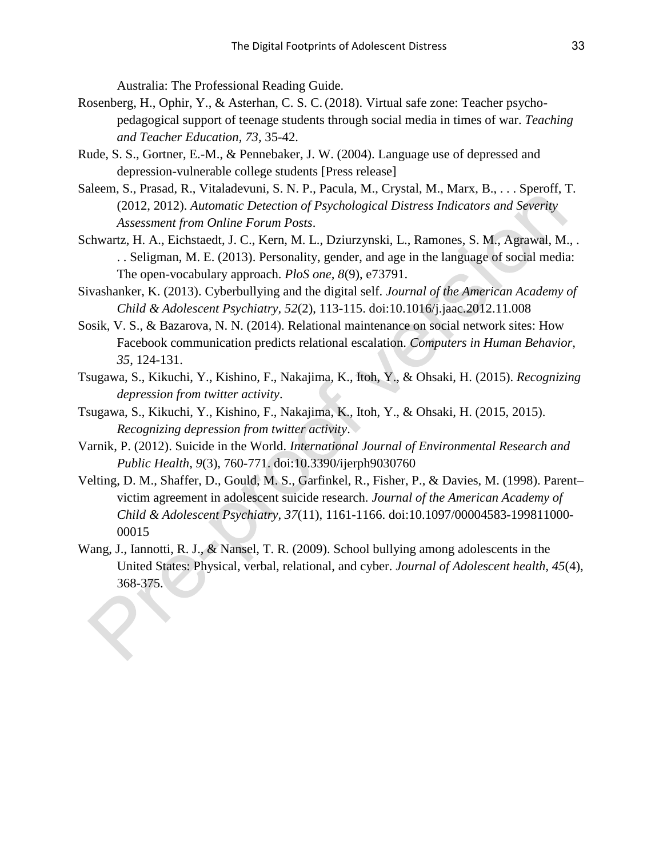Australia: The Professional Reading Guide.

- Rosenberg, H., Ophir, Y., & Asterhan, C. S. C. (2018). Virtual safe zone: Teacher psychopedagogical support of teenage students through social media in times of war. *Teaching and Teacher Education, 73,* 35-42.
- Rude, S. S., Gortner, E.-M., & Pennebaker, J. W. (2004). Language use of depressed and depression-vulnerable college students [Press release]
- Saleem, S., Prasad, R., Vitaladevuni, S. N. P., Pacula, M., Crystal, M., Marx, B., . . . Speroff, T. (2012, 2012). *Automatic Detection of Psychological Distress Indicators and Severity Assessment from Online Forum Posts*.
- Schwartz, H. A., Eichstaedt, J. C., Kern, M. L., Dziurzynski, L., Ramones, S. M., Agrawal, M., . . . Seligman, M. E. (2013). Personality, gender, and age in the language of social media: The open-vocabulary approach. *PloS one, 8*(9), e73791.
- Sivashanker, K. (2013). Cyberbullying and the digital self. *Journal of the American Academy of Child & Adolescent Psychiatry, 52*(2), 113-115. doi:10.1016/j.jaac.2012.11.008
- Sosik, V. S., & Bazarova, N. N. (2014). Relational maintenance on social network sites: How Facebook communication predicts relational escalation. *Computers in Human Behavior, 35*, 124-131.
- Tsugawa, S., Kikuchi, Y., Kishino, F., Nakajima, K., Itoh, Y., & Ohsaki, H. (2015). *Recognizing depression from twitter activity*.
- Tsugawa, S., Kikuchi, Y., Kishino, F., Nakajima, K., Itoh, Y., & Ohsaki, H. (2015, 2015). *Recognizing depression from twitter activity*.
- Varnik, P. (2012). Suicide in the World. *International Journal of Environmental Research and Public Health, 9*(3), 760-771. doi:10.3390/ijerph9030760
- Velting, D. M., Shaffer, D., Gould, M. S., Garfinkel, R., Fisher, P., & Davies, M. (1998). Parent– victim agreement in adolescent suicide research. *Journal of the American Academy of Child & Adolescent Psychiatry, 37*(11), 1161-1166. doi:10.1097/00004583-199811000- 00015
- Wang, J., Iannotti, R. J., & Nansel, T. R. (2009). School bullying among adolescents in the United States: Physical, verbal, relational, and cyber. *Journal of Adolescent health, 45*(4), 368-375.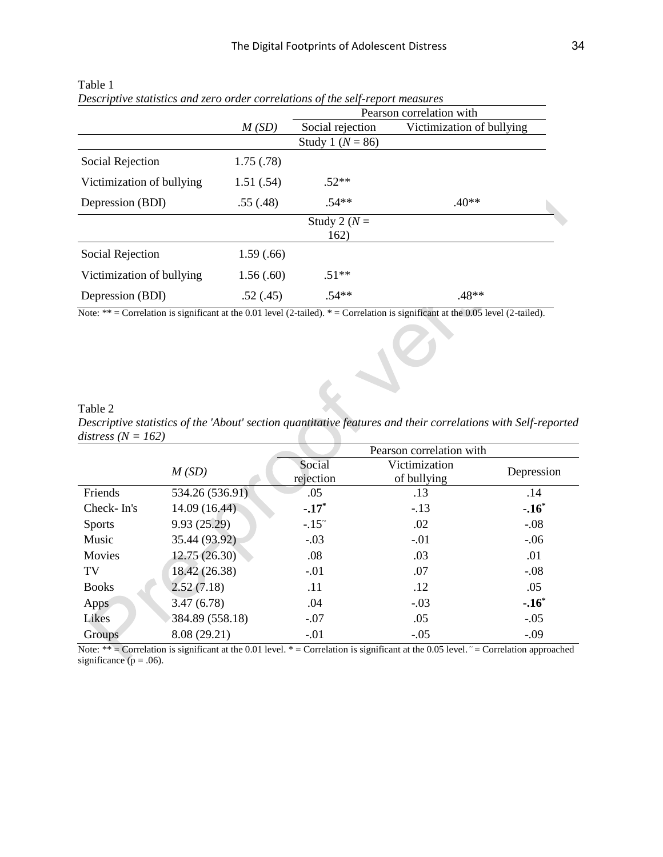|                           |           | Pearson correlation with |                           |  |  |
|---------------------------|-----------|--------------------------|---------------------------|--|--|
|                           | M(SD)     | Social rejection         | Victimization of bullying |  |  |
|                           |           | Study 1 ( $N = 86$ )     |                           |  |  |
| Social Rejection          | 1.75(.78) |                          |                           |  |  |
| Victimization of bullying | 1.51(.54) | $.52**$                  |                           |  |  |
| Depression (BDI)          | .55(.48)  | $.54**$                  | $.40**$                   |  |  |
|                           |           | Study 2 ( $N =$          |                           |  |  |
|                           |           | 162)                     |                           |  |  |
| Social Rejection          | 1.59(.66) |                          |                           |  |  |
| Victimization of bullying | 1.56(.60) | $.51**$                  |                           |  |  |
| Depression (BDI)          | .52(.45)  | $.54**$                  | .48**                     |  |  |

Table 1 *Descriptive statistics and zero order correlations of the self-report measures*

Note:  $** =$  Correlation is significant at the 0.01 level (2-tailed).  $* =$  Correlation is significant at the 0.05 level (2-tailed).

Table 2 *Descriptive statistics of the 'About' section quantitative features and their correlations with Self-reported distress (N = 162)* 

 $\epsilon$ 

|               |                 |                     | Pearson correlation with     |            |
|---------------|-----------------|---------------------|------------------------------|------------|
|               | M(SD)           | Social<br>rejection | Victimization<br>of bullying | Depression |
| Friends       | 534.26 (536.91) | .05                 | .13                          | .14        |
| Check-In's    | 14.09 (16.44)   | $-.17*$             | $-.13$                       | $-.16*$    |
| <b>Sports</b> | 9.93(25.29)     | $-.15°$             | .02                          | $-.08$     |
| Music         | 35.44 (93.92)   | $-.03$              | $-.01$                       | $-.06$     |
| Movies        | 12.75(26.30)    | .08                 | .03                          | .01        |
| TV            | 18.42 (26.38)   | $-.01$              | .07                          | $-.08$     |
| <b>Books</b>  | 2.52(7.18)      | .11                 | .12                          | .05        |
| Apps          | 3.47(6.78)      | .04                 | $-.03$                       | $-.16*$    |
| Likes         | 384.89 (558.18) | $-.07$              | .05                          | $-.05$     |
| Groups        | 8.08 (29.21)    | $-.01$              | $-.05$                       | $-.09$     |

Note:  $**$  = Correlation is significant at the 0.01 level.  $*$  = Correlation is significant at the 0.05 level.  $\sim$  = Correlation approached significance ( $p = .06$ ).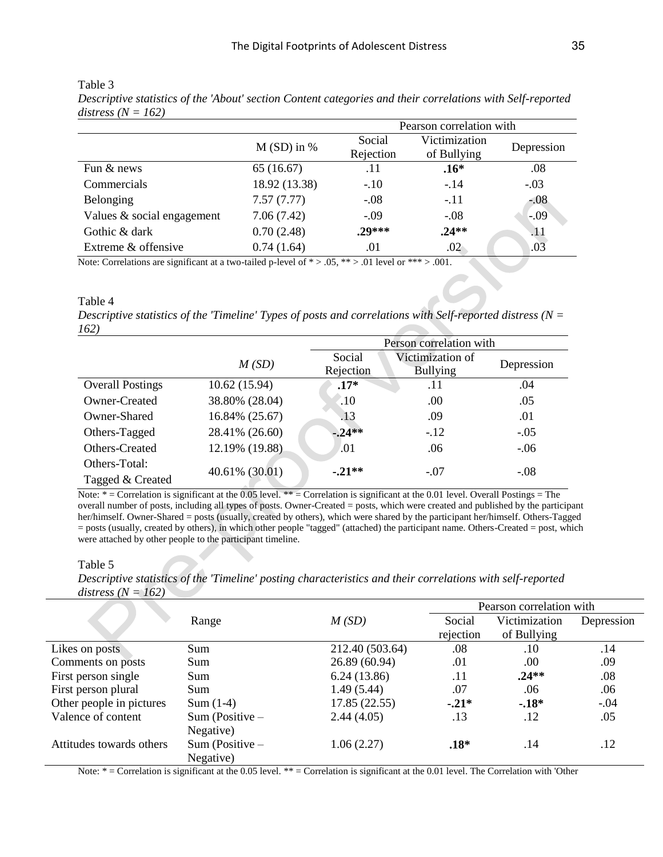| Pearson correlation with |                     |                              |                                                                                                                                         |
|--------------------------|---------------------|------------------------------|-----------------------------------------------------------------------------------------------------------------------------------------|
| $M(SD)$ in %             | Social<br>Rejection | Victimization<br>of Bullying | Depression                                                                                                                              |
| 65(16.67)                | .11                 | $.16*$                       | .08                                                                                                                                     |
| 18.92 (13.38)            | $-.10$              | $-.14$                       | $-.03$                                                                                                                                  |
| 7.57(7.77)               | $-.08$              | $-.11$                       | $-0.08$                                                                                                                                 |
| 7.06(7.42)               | $-.09$              | $-.08$                       | $-.09$                                                                                                                                  |
| 0.70(2.48)               | $.29***$            | $.24**$                      | .11                                                                                                                                     |
| 0.74(1.64)               | .01                 | $.02\,$                      | .03                                                                                                                                     |
|                          |                     |                              | Note: Correlations are significant at a two-toiled p-layel of $\ast \times 0.5 \times \ast \times 0.1$ layel or $\ast \ast \times 0.01$ |

Table 3 *Descriptive statistics of the 'About' section Content categories and their correlations with Self-reported distress (N = 162)* 

Note: Correlations are significant at a two-tailed p-level of  $* > .05$ ,  $** > .01$  level or  $*** > .001$ .

Table 4

*Descriptive statistics of the 'Timeline' Types of posts and correlations with Self-reported distress (N = 162)*

|                         |                | Person correlation with |                  |            |  |
|-------------------------|----------------|-------------------------|------------------|------------|--|
|                         | M(SD)          | Social                  | Victimization of | Depression |  |
|                         |                | Rejection               | <b>Bullying</b>  |            |  |
| <b>Overall Postings</b> | 10.62 (15.94)  | $.17*$                  | .11              | .04        |  |
| Owner-Created           | 38.80% (28.04) | $\cdot 10$              | .00              | .05        |  |
| Owner-Shared            | 16.84% (25.67) | .13                     | .09              | .01        |  |
| Others-Tagged           | 28.41% (26.60) | $-24**$                 | $-12$            | $-.05$     |  |
| Others-Created          | 12.19% (19.88) | .01                     | .06              | $-.06$     |  |
| Others-Total:           | 40.61% (30.01) | $-.21**$                | $-.07$           | $-.08$     |  |
| Tagged & Created        |                |                         |                  |            |  |

Note: \* = Correlation is significant at the 0.05 level. \*\* = Correlation is significant at the 0.01 level. Overall Postings = The overall number of posts, including all types of posts. Owner-Created = posts, which were created and published by the participant her/himself. Owner-Shared = posts (usually, created by others), which were shared by the participant her/himself. Others-Tagged = posts (usually, created by others), in which other people "tagged" (attached) the participant name. Others-Created = post, which were attached by other people to the participant timeline.

#### Table 5

*Descriptive statistics of the 'Timeline' posting characteristics and their correlations with self-reported distress (N = 162)* 

|                          |                   | Pearson correlation with |           |               |            |
|--------------------------|-------------------|--------------------------|-----------|---------------|------------|
|                          | Range             | M(SD)                    | Social    | Victimization | Depression |
|                          |                   |                          | rejection | of Bullying   |            |
| Likes on posts           | Sum               | 212.40 (503.64)          | .08       | .10           | .14        |
| Comments on posts        | Sum               | 26.89 (60.94)            | .01       | .00           | .09        |
| First person single      | Sum               | 6.24(13.86)              | .11       | $.24**$       | .08        |
| First person plural      | Sum               | 1.49(5.44)               | .07       | .06           | .06        |
| Other people in pictures | $Sum(1-4)$        | 17.85 (22.55)            | $-.21*$   | $-.18*$       | $-.04$     |
| Valence of content       | Sum (Positive $-$ | 2.44(4.05)               | .13       | .12           | .05        |
|                          | Negative)         |                          |           |               |            |
| Attitudes towards others | Sum (Positive $-$ | 1.06(2.27)               | $.18*$    | .14           | .12        |
|                          | Negative)         |                          |           |               |            |

Note:  $*$  = Correlation is significant at the 0.05 level.  $**$  = Correlation is significant at the 0.01 level. The Correlation with 'Other